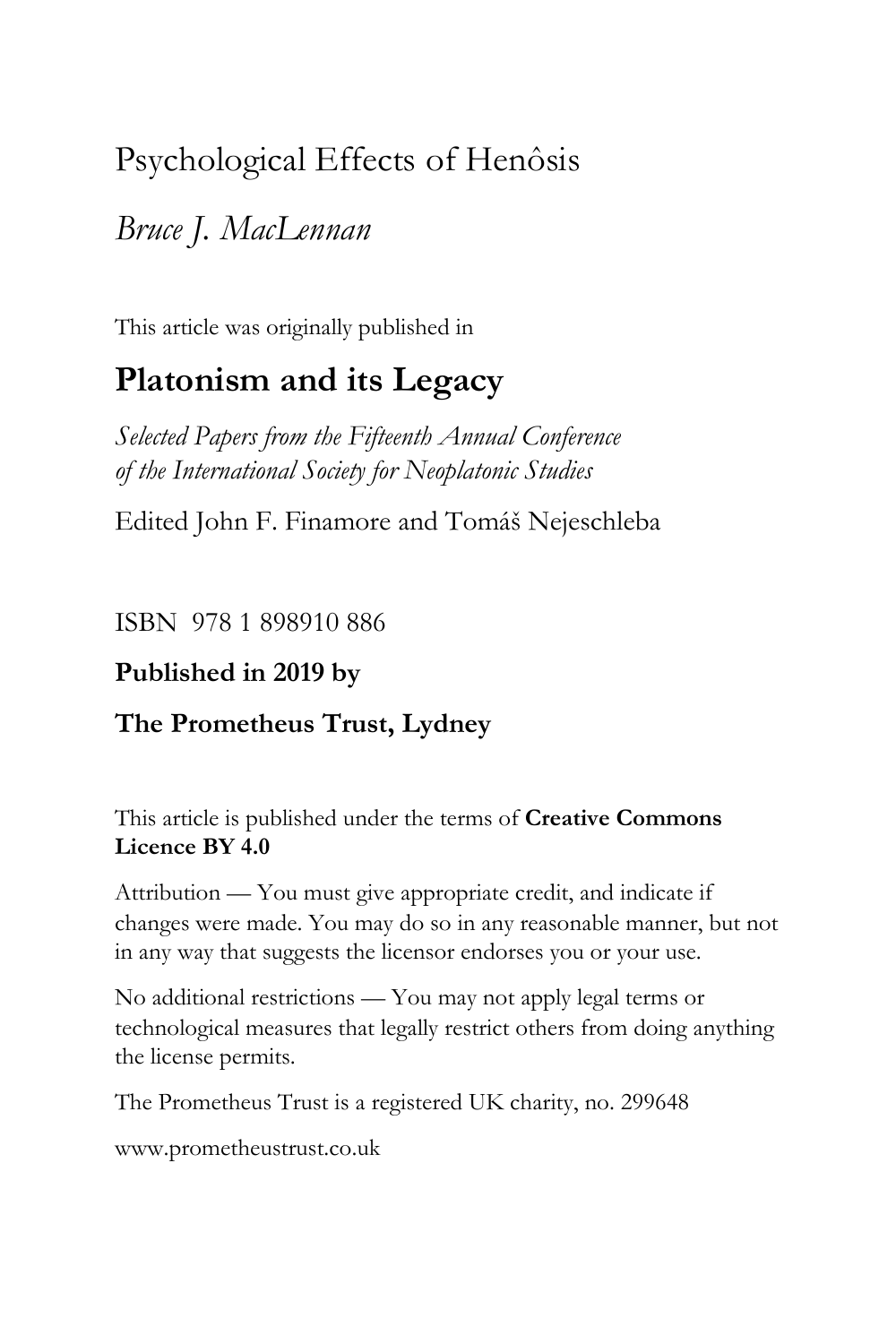# Psychological Effects of Henôsis

# *Bruce J. MacLennan*

This article was originally published in

# **Platonism and its Legacy**

*Selected Papers from the Fifteenth Annual Conference of the International Society for Neoplatonic Studies*

Edited John F. Finamore and Tomáš Nejeschleba

ISBN 978 1 898910 886

# **Published in 2019 by**

# **The Prometheus Trust, Lydney**

This article is published under the terms of **Creative Commons Licence BY 4.0**

Attribution — You must give appropriate credit, and indicate if changes were made. You may do so in any reasonable manner, but not in any way that suggests the licensor endorses you or your use.

No additional restrictions — You may not apply legal terms or technological measures that legally restrict others from doing anything the license permits.

The Prometheus Trust is a registered UK charity, no. 299648

[www.prometheustrust.co.uk](http://www.prometheustrust.co.uk/)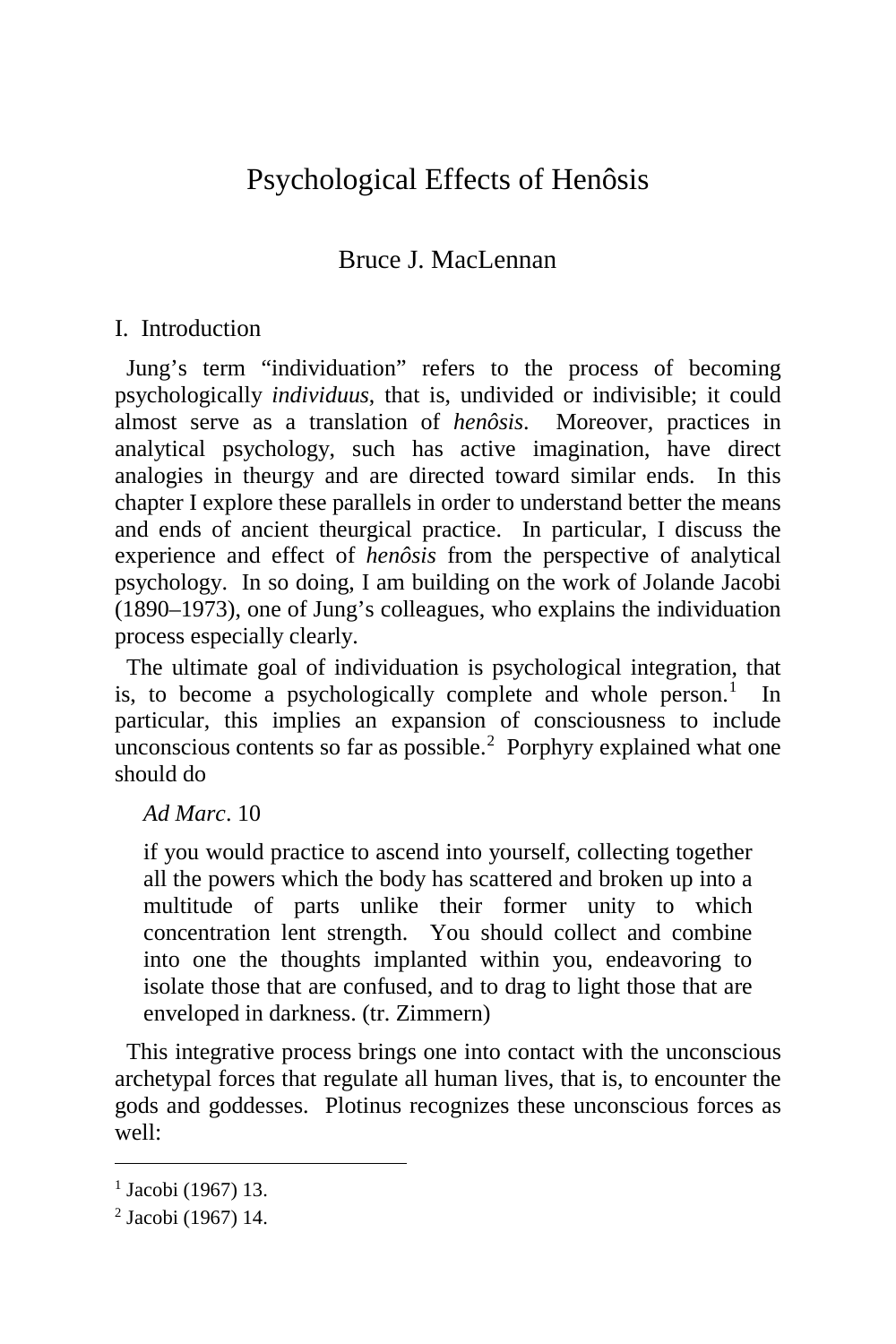# Psychological Effects of Henôsis

## Bruce J. MacLennan

## I. Introduction

 Jung's term "individuation" refers to the process of becoming psychologically *individuus*, that is, undivided or indivisible; it could almost serve as a translation of *henôsis*. Moreover, practices in analytical psychology, such has active imagination, have direct analogies in theurgy and are directed toward similar ends. In this chapter I explore these parallels in order to understand better the means and ends of ancient theurgical practice. In particular, I discuss the experience and effect of *henôsis* from the perspective of analytical psychology. In so doing, I am building on the work of Jolande Jacobi (1890–1973), one of Jung's colleagues, who explains the individuation process especially clearly.

 The ultimate goal of individuation is psychological integration, that is, to become a psychologically complete and whole person.<sup>[1](#page-1-0)</sup> In particular, this implies an expansion of consciousness to include unconscious contents so far as possible. $2$  Porphyry explained what one should do

*Ad Marc*. 10

if you would practice to ascend into yourself, collecting together all the powers which the body has scattered and broken up into a multitude of parts unlike their former unity to which concentration lent strength. You should collect and combine into one the thoughts implanted within you, endeavoring to isolate those that are confused, and to drag to light those that are enveloped in darkness. (tr. Zimmern)

 This integrative process brings one into contact with the unconscious archetypal forces that regulate all human lives, that is, to encounter the gods and goddesses. Plotinus recognizes these unconscious forces as well:

<span id="page-1-0"></span><sup>&</sup>lt;sup>1</sup> Jacobi (1967) 13.

<span id="page-1-1"></span><sup>2</sup> Jacobi (1967) 14.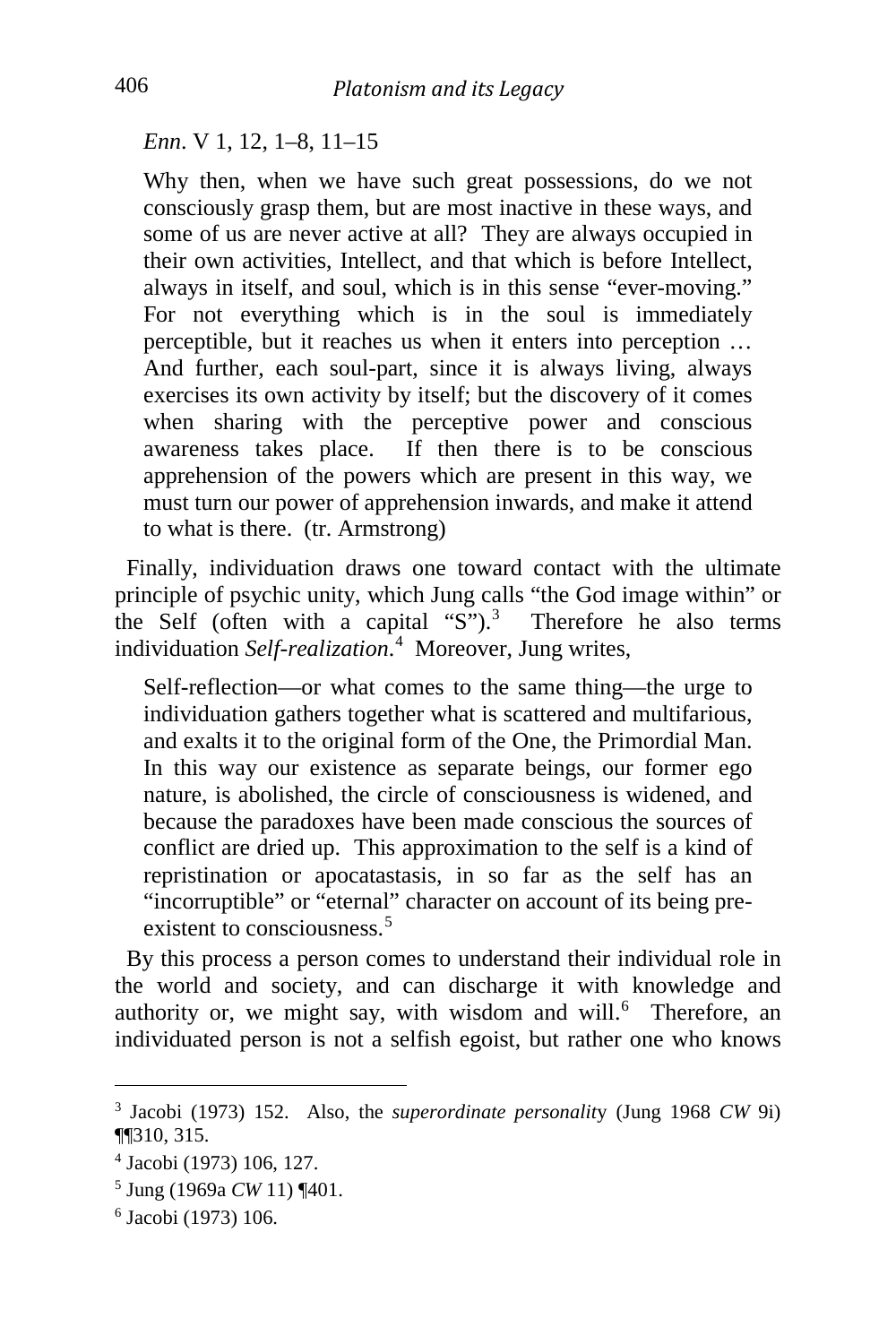*Enn*. V 1, 12, 1–8, 11–15

Why then, when we have such great possessions, do we not consciously grasp them, but are most inactive in these ways, and some of us are never active at all? They are always occupied in their own activities, Intellect, and that which is before Intellect, always in itself, and soul, which is in this sense "ever-moving." For not everything which is in the soul is immediately perceptible, but it reaches us when it enters into perception … And further, each soul-part, since it is always living, always exercises its own activity by itself; but the discovery of it comes when sharing with the perceptive power and conscious awareness takes place. If then there is to be conscious apprehension of the powers which are present in this way, we must turn our power of apprehension inwards, and make it attend to what is there. (tr. Armstrong)

 Finally, individuation draws one toward contact with the ultimate principle of psychic unity, which Jung calls "the God image within" or the Self (often with a capital "S").<sup>[3](#page-2-0)</sup> Therefore he also terms individuation *Self-realization*. [4](#page-2-1) Moreover, Jung writes,

Self-reflection—or what comes to the same thing—the urge to individuation gathers together what is scattered and multifarious, and exalts it to the original form of the One, the Primordial Man. In this way our existence as separate beings, our former ego nature, is abolished, the circle of consciousness is widened, and because the paradoxes have been made conscious the sources of conflict are dried up. This approximation to the self is a kind of repristination or apocatastasis, in so far as the self has an "incorruptible" or "eternal" character on account of its being pre-existent to consciousness<sup>[5](#page-2-2)</sup>

 By this process a person comes to understand their individual role in the world and society, and can discharge it with knowledge and authority or, we might say, with wisdom and will.<sup>[6](#page-2-3)</sup> Therefore, an individuated person is not a selfish egoist, but rather one who knows

<span id="page-2-0"></span><sup>3</sup> Jacobi (1973) 152. Also, the *superordinate personalit*y (Jung 1968 *CW* 9i) ¶¶310, 315.

<span id="page-2-1"></span><sup>4</sup> Jacobi (1973) 106, 127.

<span id="page-2-2"></span><sup>5</sup> Jung (1969a *CW* 11) ¶401.

<span id="page-2-3"></span><sup>6</sup> Jacobi (1973) 106.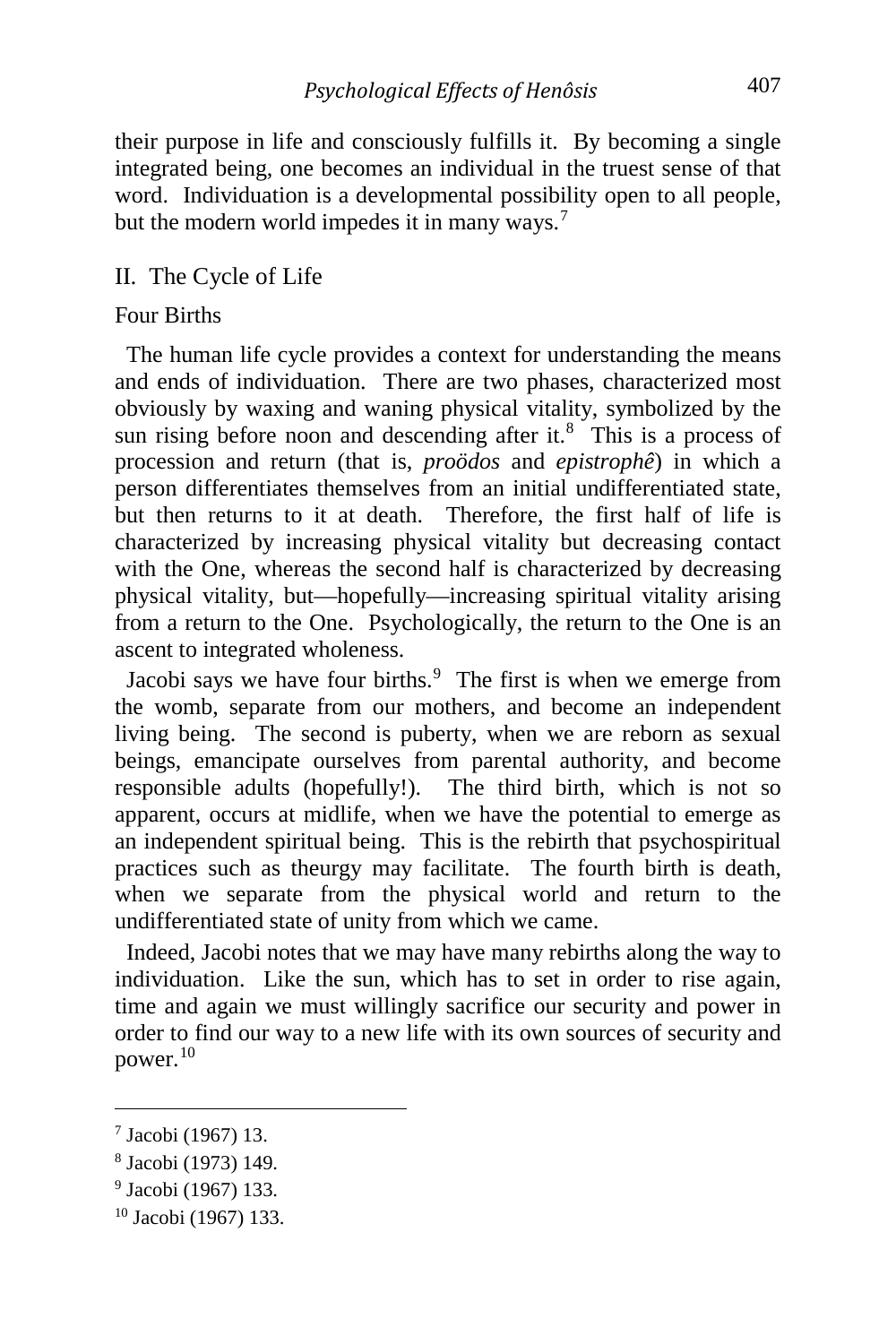their purpose in life and consciously fulfills it. By becoming a single integrated being, one becomes an individual in the truest sense of that word. Individuation is a developmental possibility open to all people, but the modern world impedes it in many ways.<sup>[7](#page-3-0)</sup>

#### II. The Cycle of Life

#### Four Births

 The human life cycle provides a context for understanding the means and ends of individuation. There are two phases, characterized most obviously by waxing and waning physical vitality, symbolized by the sun rising before noon and descending after it. $8$  This is a process of procession and return (that is, *proödos* and *epistrophê*) in which a person differentiates themselves from an initial undifferentiated state, but then returns to it at death. Therefore, the first half of life is characterized by increasing physical vitality but decreasing contact with the One, whereas the second half is characterized by decreasing physical vitality, but—hopefully—increasing spiritual vitality arising from a return to the One. Psychologically, the return to the One is an ascent to integrated wholeness.

Jacobi says we have four births. $9$  The first is when we emerge from the womb, separate from our mothers, and become an independent living being. The second is puberty, when we are reborn as sexual beings, emancipate ourselves from parental authority, and become responsible adults (hopefully!). The third birth, which is not so apparent, occurs at midlife, when we have the potential to emerge as an independent spiritual being. This is the rebirth that psychospiritual practices such as theurgy may facilitate. The fourth birth is death, when we separate from the physical world and return to the undifferentiated state of unity from which we came.

 Indeed, Jacobi notes that we may have many rebirths along the way to individuation. Like the sun, which has to set in order to rise again, time and again we must willingly sacrifice our security and power in order to find our way to a new life with its own sources of security and power. $10$ 

<span id="page-3-0"></span><sup>7</sup> Jacobi (1967) 13.

<span id="page-3-1"></span><sup>8</sup> Jacobi (1973) 149.

<span id="page-3-2"></span><sup>9</sup> Jacobi (1967) 133.

<span id="page-3-3"></span><sup>10</sup> Jacobi (1967) 133.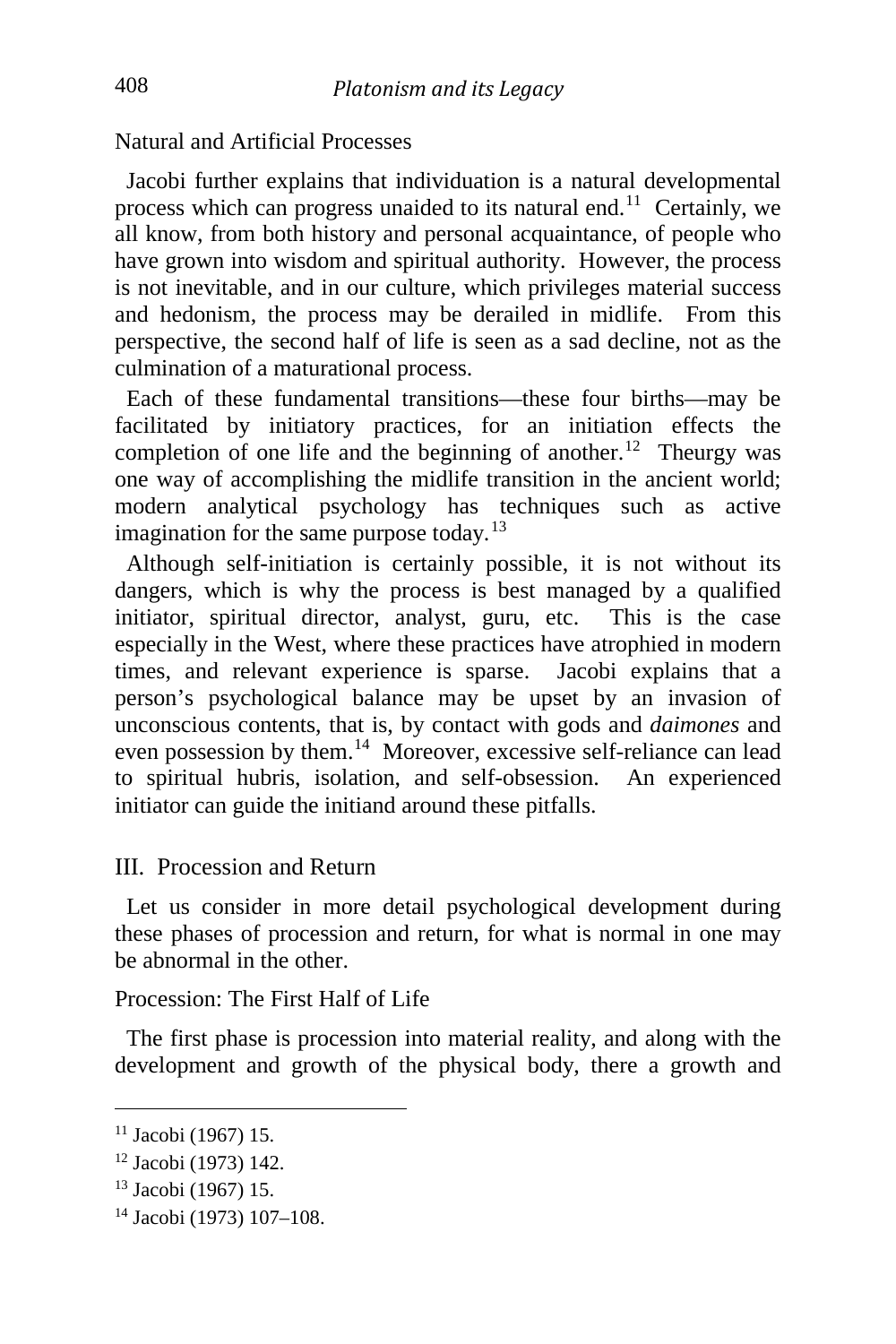Natural and Artificial Processes

 Jacobi further explains that individuation is a natural developmental process which can progress unaided to its natural end.[11](#page-4-0) Certainly, we all know, from both history and personal acquaintance, of people who have grown into wisdom and spiritual authority. However, the process is not inevitable, and in our culture, which privileges material success and hedonism, the process may be derailed in midlife. From this perspective, the second half of life is seen as a sad decline, not as the culmination of a maturational process.

 Each of these fundamental transitions—these four births—may be facilitated by initiatory practices, for an initiation effects the completion of one life and the beginning of another.<sup>[12](#page-4-1)</sup> Theurgy was one way of accomplishing the midlife transition in the ancient world; modern analytical psychology has techniques such as active imagination for the same purpose today.<sup>[13](#page-4-2)</sup>

 Although self-initiation is certainly possible, it is not without its dangers, which is why the process is best managed by a qualified initiator, spiritual director, analyst, guru, etc. This is the case especially in the West, where these practices have atrophied in modern times, and relevant experience is sparse. Jacobi explains that a person's psychological balance may be upset by an invasion of unconscious contents, that is, by contact with gods and *daimones* and even possession by them.[14](#page-4-3) Moreover, excessive self-reliance can lead to spiritual hubris, isolation, and self-obsession. An experienced initiator can guide the initiand around these pitfalls.

### III. Procession and Return

 Let us consider in more detail psychological development during these phases of procession and return, for what is normal in one may be abnormal in the other.

Procession: The First Half of Life

 The first phase is procession into material reality, and along with the development and growth of the physical body, there a growth and

<span id="page-4-0"></span><sup>11</sup> Jacobi (1967) 15.

<span id="page-4-1"></span><sup>12</sup> Jacobi (1973) 142.

<span id="page-4-2"></span><sup>13</sup> Jacobi (1967) 15.

<span id="page-4-3"></span><sup>14</sup> Jacobi (1973) 107–108.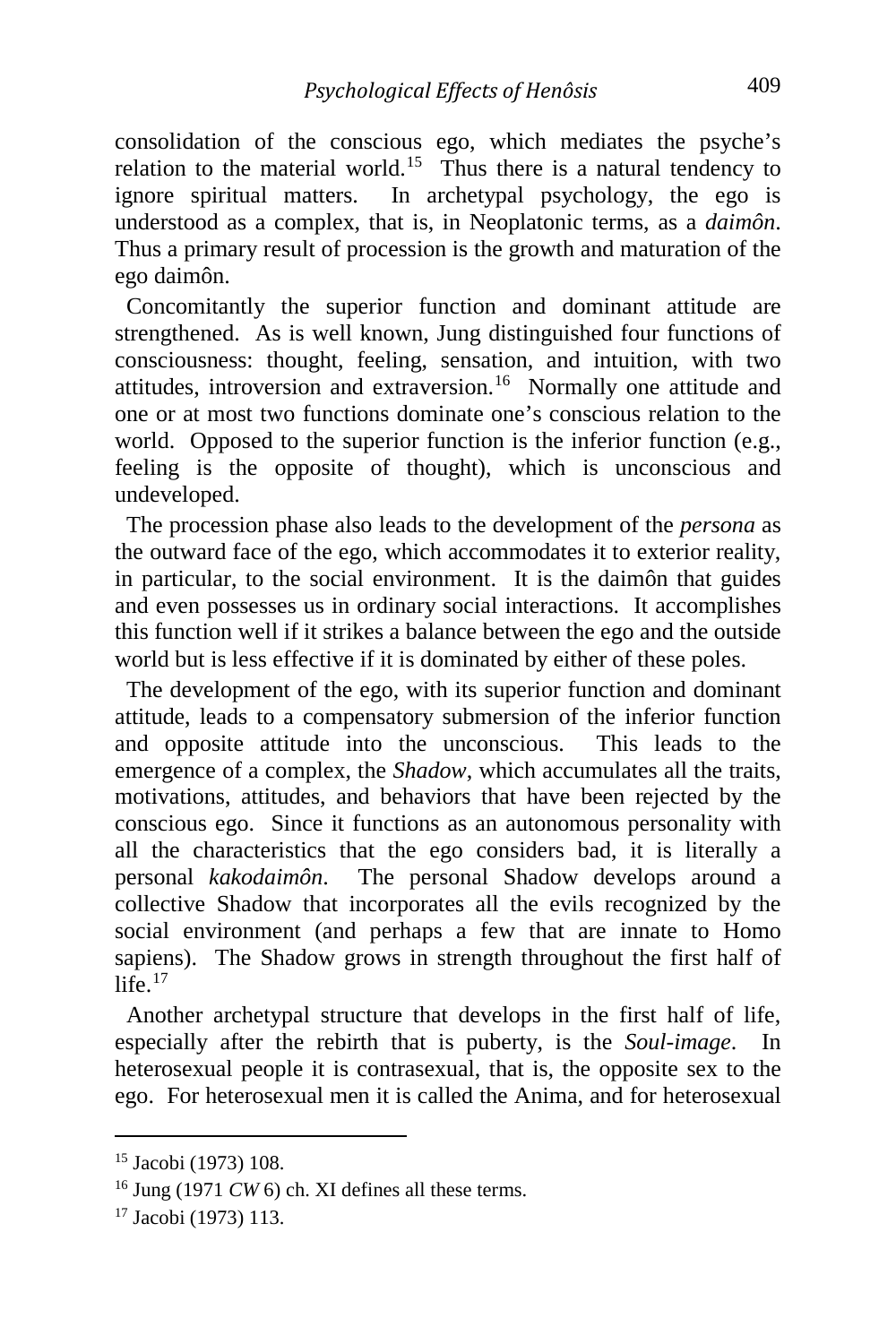consolidation of the conscious ego, which mediates the psyche's relation to the material world.<sup>[15](#page-5-0)</sup> Thus there is a natural tendency to ignore spiritual matters. In archetypal psychology, the ego is understood as a complex, that is, in Neoplatonic terms, as a *daimôn*. Thus a primary result of procession is the growth and maturation of the ego daimôn.

 Concomitantly the superior function and dominant attitude are strengthened. As is well known, Jung distinguished four functions of consciousness: thought, feeling, sensation, and intuition, with two attitudes, introversion and extraversion.[16](#page-5-1) Normally one attitude and one or at most two functions dominate one's conscious relation to the world. Opposed to the superior function is the inferior function (e.g., feeling is the opposite of thought), which is unconscious and undeveloped.

 The procession phase also leads to the development of the *persona* as the outward face of the ego, which accommodates it to exterior reality, in particular, to the social environment. It is the daimôn that guides and even possesses us in ordinary social interactions. It accomplishes this function well if it strikes a balance between the ego and the outside world but is less effective if it is dominated by either of these poles.

 The development of the ego, with its superior function and dominant attitude, leads to a compensatory submersion of the inferior function and opposite attitude into the unconscious. This leads to the emergence of a complex, the *Shadow*, which accumulates all the traits, motivations, attitudes, and behaviors that have been rejected by the conscious ego. Since it functions as an autonomous personality with all the characteristics that the ego considers bad, it is literally a personal *kakodaimôn*. The personal Shadow develops around a collective Shadow that incorporates all the evils recognized by the social environment (and perhaps a few that are innate to Homo sapiens). The Shadow grows in strength throughout the first half of life  $^{17}$  $^{17}$  $^{17}$ 

 Another archetypal structure that develops in the first half of life, especially after the rebirth that is puberty, is the *Soul-image*. In heterosexual people it is contrasexual, that is, the opposite sex to the ego. For heterosexual men it is called the Anima, and for heterosexual

<span id="page-5-0"></span><sup>15</sup> Jacobi (1973) 108.

<span id="page-5-1"></span><sup>16</sup> Jung (1971 *CW* 6) ch. XI defines all these terms.

<span id="page-5-2"></span><sup>17</sup> Jacobi (1973) 113.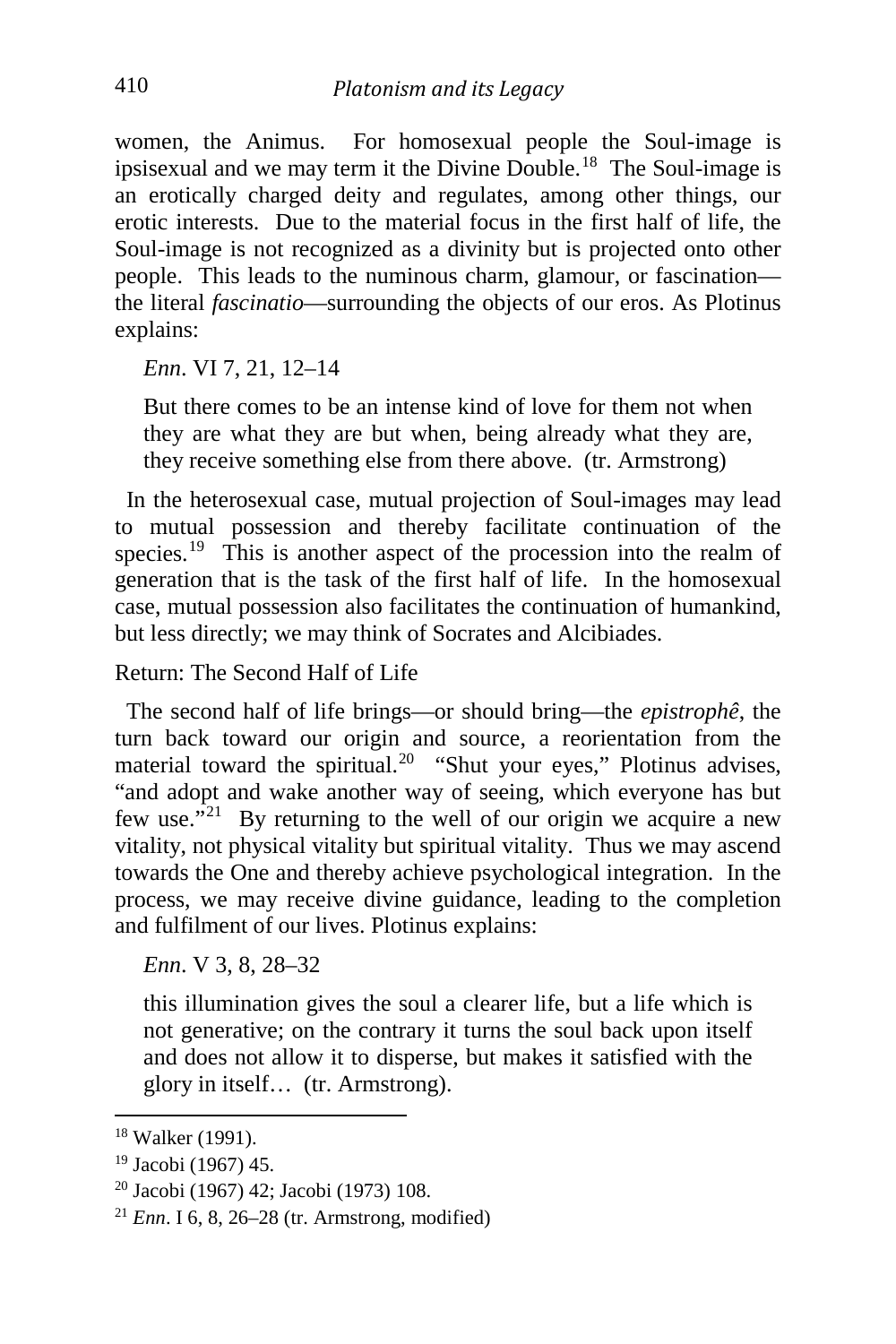women, the Animus. For homosexual people the Soul-image is ipsisexual and we may term it the Divine Double.[18](#page-6-0) The Soul-image is an erotically charged deity and regulates, among other things, our erotic interests. Due to the material focus in the first half of life, the Soul-image is not recognized as a divinity but is projected onto other people. This leads to the numinous charm, glamour, or fascination the literal *fascinatio*—surrounding the objects of our eros. As Plotinus explains:

*Enn*. VI 7, 21, 12–14

But there comes to be an intense kind of love for them not when they are what they are but when, being already what they are, they receive something else from there above. (tr. Armstrong)

 In the heterosexual case, mutual projection of Soul-images may lead to mutual possession and thereby facilitate continuation of the species.<sup>19</sup> This is another aspect of the procession into the realm of generation that is the task of the first half of life. In the homosexual case, mutual possession also facilitates the continuation of humankind, but less directly; we may think of Socrates and Alcibiades.

Return: The Second Half of Life

 The second half of life brings—or should bring—the *epistrophê*, the turn back toward our origin and source, a reorientation from the material toward the spiritual.<sup>[20](#page-6-2)</sup> "Shut your eyes," Plotinus advises, "and adopt and wake another way of seeing, which everyone has but few use. $\mathbf{r}^{21}$  By returning to the well of our origin we acquire a new vitality, not physical vitality but spiritual vitality. Thus we may ascend towards the One and thereby achieve psychological integration. In the process, we may receive divine guidance, leading to the completion and fulfilment of our lives. Plotinus explains:

*Enn*. V 3, 8, 28–32

this illumination gives the soul a clearer life, but a life which is not generative; on the contrary it turns the soul back upon itself and does not allow it to disperse, but makes it satisfied with the glory in itself… (tr. Armstrong).

<span id="page-6-0"></span><sup>18</sup> Walker (1991).

<span id="page-6-1"></span><sup>19</sup> Jacobi (1967) 45.

<span id="page-6-2"></span><sup>20</sup> Jacobi (1967) 42; Jacobi (1973) 108.

<span id="page-6-3"></span> $^{21}$  *Enn.* I 6, 8, 26–28 (tr. Armstrong, modified)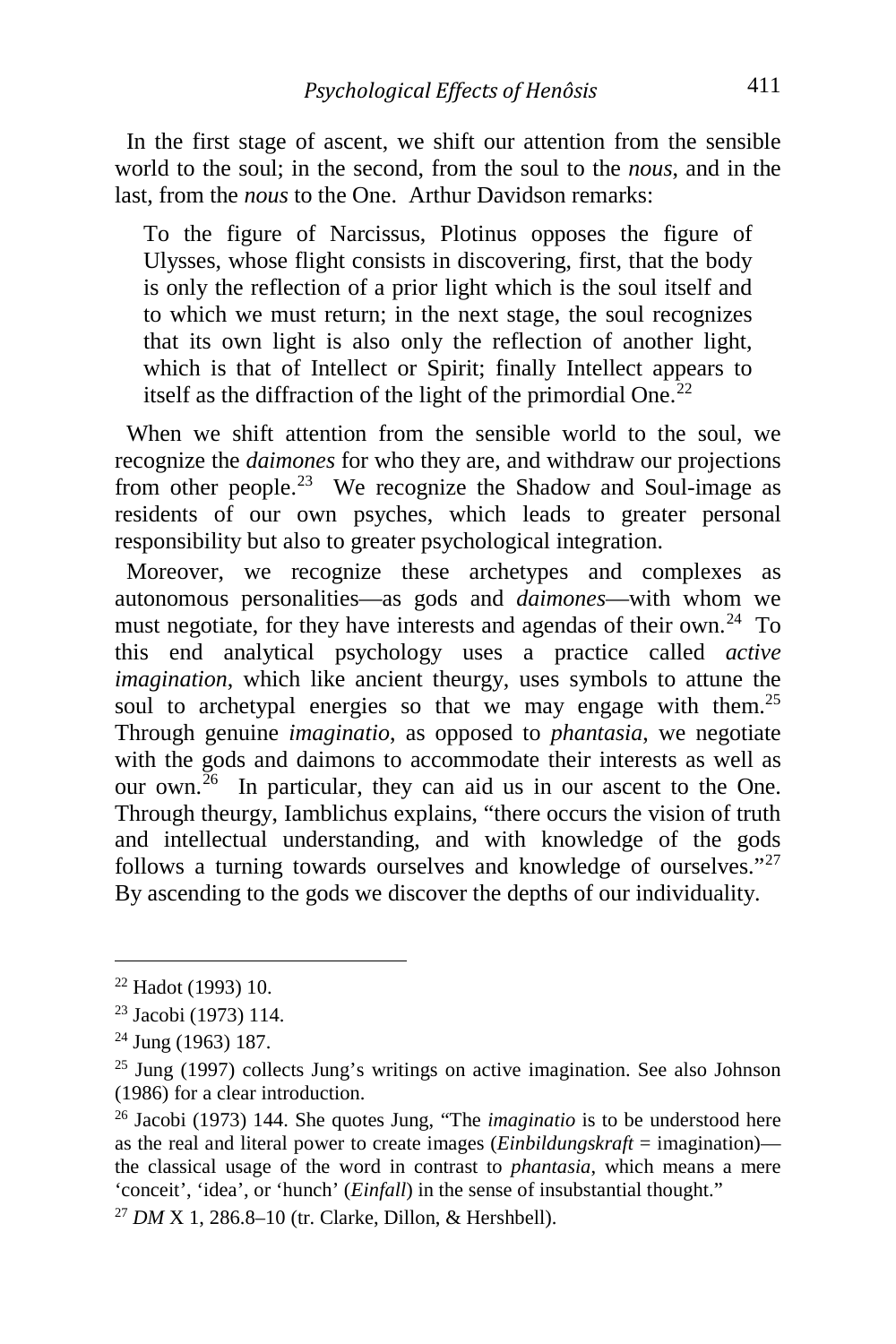In the first stage of ascent, we shift our attention from the sensible world to the soul; in the second, from the soul to the *nous*, and in the last, from the *nous* to the One. Arthur Davidson remarks:

To the figure of Narcissus, Plotinus opposes the figure of Ulysses, whose flight consists in discovering, first, that the body is only the reflection of a prior light which is the soul itself and to which we must return; in the next stage, the soul recognizes that its own light is also only the reflection of another light, which is that of Intellect or Spirit; finally Intellect appears to itself as the diffraction of the light of the primordial One.<sup>[22](#page-7-0)</sup>

 When we shift attention from the sensible world to the soul, we recognize the *daimones* for who they are, and withdraw our projections from other people.<sup>[23](#page-7-1)</sup> We recognize the Shadow and Soul-image as residents of our own psyches, which leads to greater personal responsibility but also to greater psychological integration.

 Moreover, we recognize these archetypes and complexes as autonomous personalities—as gods and *daimones*—with whom we must negotiate, for they have interests and agendas of their own.<sup>[24](#page-7-2)</sup> To this end analytical psychology uses a practice called *active imagination*, which like ancient theurgy, uses symbols to attune the soul to archetypal energies so that we may engage with them.<sup>[25](#page-7-3)</sup> Through genuine *imaginatio*, as opposed to *phantasia*, we negotiate with the gods and daimons to accommodate their interests as well as our own. $^{26}$  In particular, they can aid us in our ascent to the One. Through theurgy, Iamblichus explains, "there occurs the vision of truth and intellectual understanding, and with knowledge of the gods follows a turning towards ourselves and knowledge of ourselves."<sup>[27](#page-7-5)</sup> By ascending to the gods we discover the depths of our individuality.

i, <sup>22</sup> Hadot (1993) 10.

<span id="page-7-1"></span><span id="page-7-0"></span><sup>23</sup> Jacobi (1973) 114.

<span id="page-7-2"></span><sup>24</sup> Jung (1963) 187.

<span id="page-7-3"></span><sup>25</sup> Jung (1997) collects Jung's writings on active imagination. See also Johnson (1986) for a clear introduction.

<span id="page-7-4"></span><sup>26</sup> Jacobi (1973) 144. She quotes Jung, "The *imaginatio* is to be understood here as the real and literal power to create images (*Einbildungskraft* = imagination) the classical usage of the word in contrast to *phantasia*, which means a mere 'conceit', 'idea', or 'hunch' (*Einfall*) in the sense of insubstantial thought."

<span id="page-7-5"></span><sup>27</sup> *DM* X 1, 286.8–10 (tr. Clarke, Dillon, & Hershbell).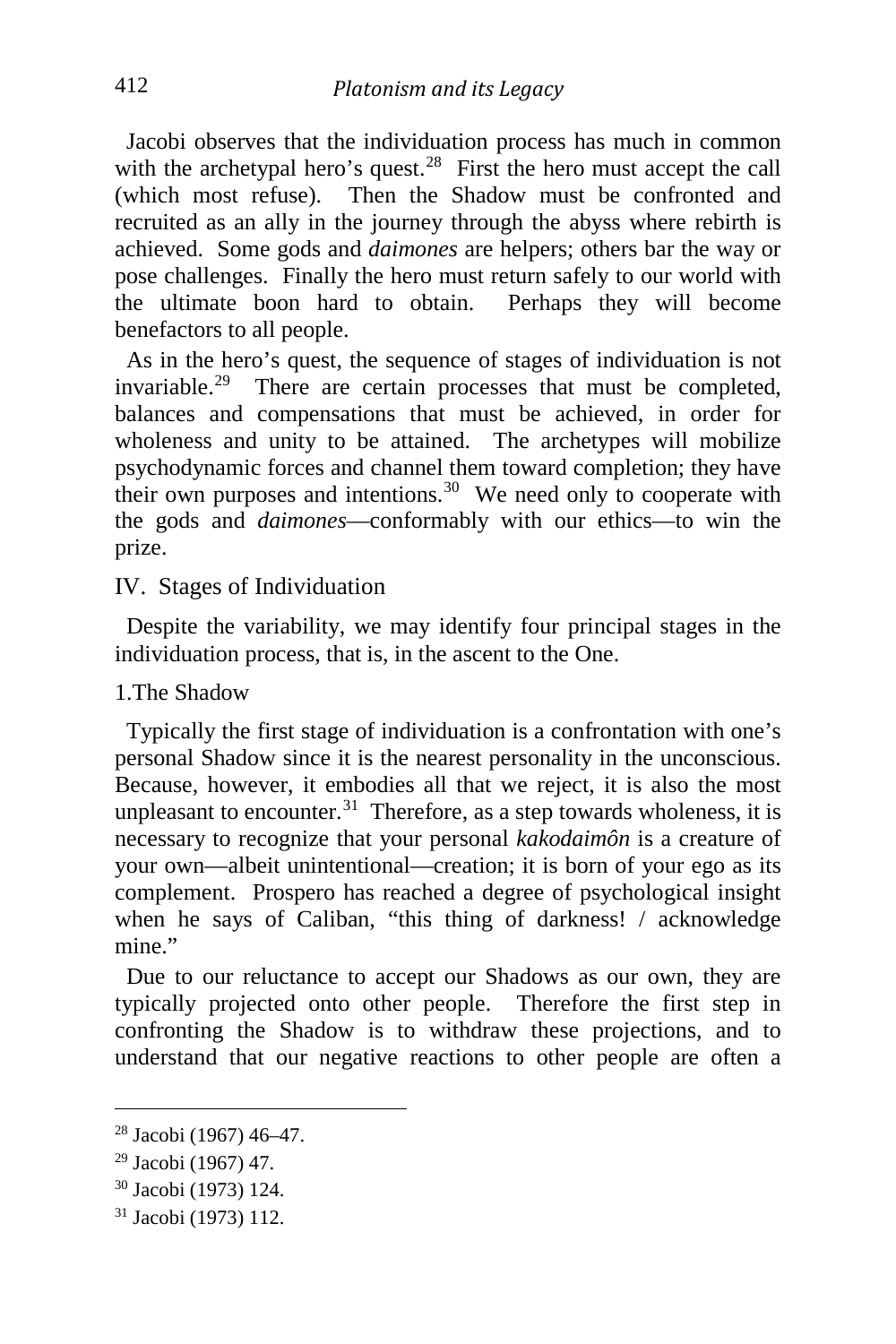Jacobi observes that the individuation process has much in common with the archetypal hero's quest.<sup>[28](#page-8-0)</sup> First the hero must accept the call (which most refuse). Then the Shadow must be confronted and recruited as an ally in the journey through the abyss where rebirth is achieved. Some gods and *daimones* are helpers; others bar the way or pose challenges. Finally the hero must return safely to our world with the ultimate boon hard to obtain. Perhaps they will become benefactors to all people.

 As in the hero's quest, the sequence of stages of individuation is not invariable.[29](#page-8-1) There are certain processes that must be completed, balances and compensations that must be achieved, in order for wholeness and unity to be attained. The archetypes will mobilize psychodynamic forces and channel them toward completion; they have their own purposes and intentions.<sup>30</sup> We need only to cooperate with the gods and *daimones*—conformably with our ethics—to win the prize.

IV. Stages of Individuation

 Despite the variability, we may identify four principal stages in the individuation process, that is, in the ascent to the One.

1.The Shadow

 Typically the first stage of individuation is a confrontation with one's personal Shadow since it is the nearest personality in the unconscious. Because, however, it embodies all that we reject, it is also the most unpleasant to encounter.<sup>[31](#page-8-3)</sup> Therefore, as a step towards wholeness, it is necessary to recognize that your personal *kakodaimôn* is a creature of your own—albeit unintentional—creation; it is born of your ego as its complement. Prospero has reached a degree of psychological insight when he says of Caliban, "this thing of darkness! / acknowledge mine."

 Due to our reluctance to accept our Shadows as our own, they are typically projected onto other people. Therefore the first step in confronting the Shadow is to withdraw these projections, and to understand that our negative reactions to other people are often a

<span id="page-8-0"></span><sup>28</sup> Jacobi (1967) 46–47.

<span id="page-8-1"></span><sup>29</sup> Jacobi (1967) 47.

<span id="page-8-2"></span><sup>30</sup> Jacobi (1973) 124.

<span id="page-8-3"></span><sup>31</sup> Jacobi (1973) 112.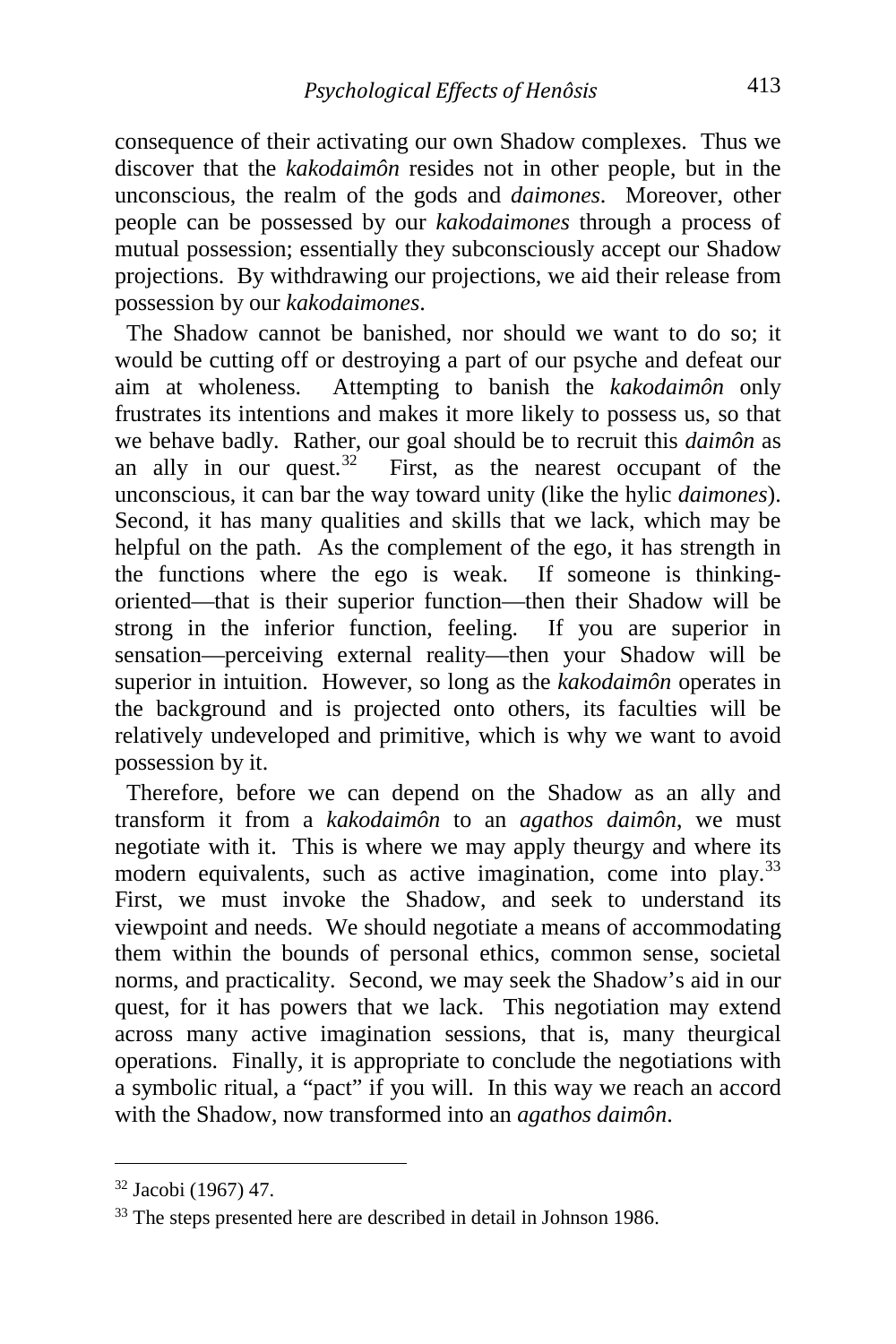consequence of their activating our own Shadow complexes. Thus we discover that the *kakodaimôn* resides not in other people, but in the unconscious, the realm of the gods and *daimones*. Moreover, other people can be possessed by our *kakodaimones* through a process of mutual possession; essentially they subconsciously accept our Shadow projections. By withdrawing our projections, we aid their release from possession by our *kakodaimones*.

 The Shadow cannot be banished, nor should we want to do so; it would be cutting off or destroying a part of our psyche and defeat our aim at wholeness. Attempting to banish the *kakodaimôn* only frustrates its intentions and makes it more likely to possess us, so that we behave badly. Rather, our goal should be to recruit this *daimôn* as an ally in our quest.<sup>[32](#page-9-0)</sup> First, as the nearest occupant of the unconscious, it can bar the way toward unity (like the hylic *daimones*). Second, it has many qualities and skills that we lack, which may be helpful on the path. As the complement of the ego, it has strength in the functions where the ego is weak. If someone is thinkingoriented—that is their superior function—then their Shadow will be strong in the inferior function, feeling. If you are superior in sensation—perceiving external reality—then your Shadow will be superior in intuition. However, so long as the *kakodaimôn* operates in the background and is projected onto others, its faculties will be relatively undeveloped and primitive, which is why we want to avoid possession by it.

 Therefore, before we can depend on the Shadow as an ally and transform it from a *kakodaimôn* to an *agathos daimôn*, we must negotiate with it. This is where we may apply theurgy and where its modern equivalents, such as active imagination, come into play.<sup>[33](#page-9-1)</sup> First, we must invoke the Shadow, and seek to understand its viewpoint and needs. We should negotiate a means of accommodating them within the bounds of personal ethics, common sense, societal norms, and practicality. Second, we may seek the Shadow's aid in our quest, for it has powers that we lack. This negotiation may extend across many active imagination sessions, that is, many theurgical operations. Finally, it is appropriate to conclude the negotiations with a symbolic ritual, a "pact" if you will. In this way we reach an accord with the Shadow, now transformed into an *agathos daimôn*.

<span id="page-9-0"></span><sup>32</sup> Jacobi (1967) 47.

<span id="page-9-1"></span><sup>&</sup>lt;sup>33</sup> The steps presented here are described in detail in Johnson 1986.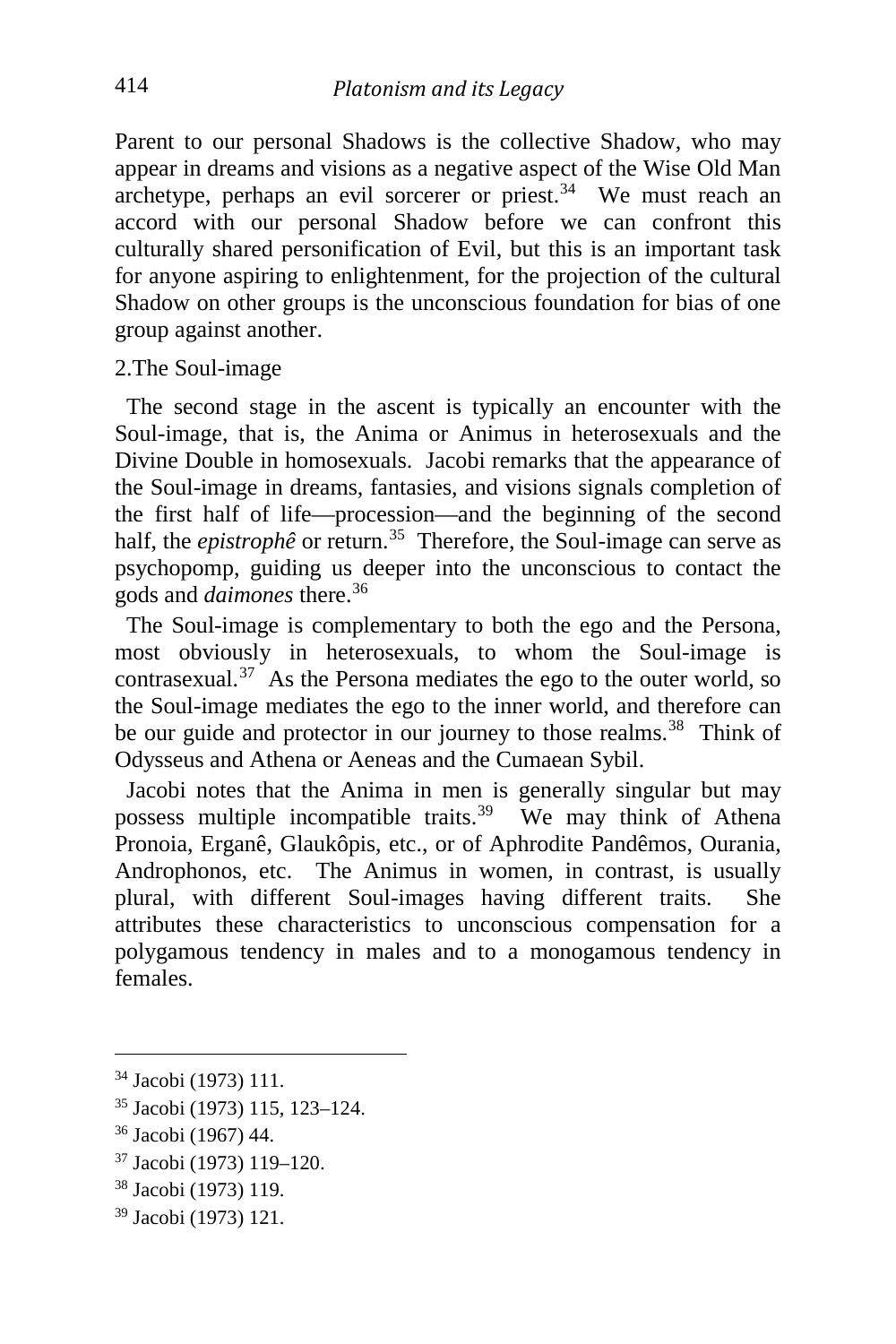Parent to our personal Shadows is the collective Shadow, who may appear in dreams and visions as a negative aspect of the Wise Old Man archetype, perhaps an evil sorcerer or priest.<sup>[34](#page-10-0)</sup> We must reach an accord with our personal Shadow before we can confront this culturally shared personification of Evil, but this is an important task for anyone aspiring to enlightenment, for the projection of the cultural Shadow on other groups is the unconscious foundation for bias of one group against another.

#### 2.The Soul-image

 The second stage in the ascent is typically an encounter with the Soul-image, that is, the Anima or Animus in heterosexuals and the Divine Double in homosexuals. Jacobi remarks that the appearance of the Soul-image in dreams, fantasies, and visions signals completion of the first half of life—procession—and the beginning of the second half, the *epistrophê* or return.<sup>35</sup> Therefore, the Soul-image can serve as psychopomp, guiding us deeper into the unconscious to contact the gods and *daimones* there.[36](#page-10-2)

 The Soul-image is complementary to both the ego and the Persona, most obviously in heterosexuals, to whom the Soul-image is contrasexual. $37$  As the Persona mediates the ego to the outer world, so the Soul-image mediates the ego to the inner world, and therefore can be our guide and protector in our journey to those realms.<sup>38</sup> Think of Odysseus and Athena or Aeneas and the Cumaean Sybil.

 Jacobi notes that the Anima in men is generally singular but may possess multiple incompatible traits.[39](#page-10-5) We may think of Athena Pronoia, Erganê, Glaukôpis, etc., or of Aphrodite Pandêmos, Ourania, Androphonos, etc. The Animus in women, in contrast, is usually plural, with different Soul-images having different traits. She attributes these characteristics to unconscious compensation for a polygamous tendency in males and to a monogamous tendency in females.

- <span id="page-10-1"></span><sup>35</sup> Jacobi (1973) 115, 123–124.
- <span id="page-10-2"></span><sup>36</sup> Jacobi (1967) 44.
- <span id="page-10-3"></span><sup>37</sup> Jacobi (1973) 119–120.
- <span id="page-10-4"></span><sup>38</sup> Jacobi (1973) 119.
- <span id="page-10-5"></span><sup>39</sup> Jacobi (1973) 121.

<span id="page-10-0"></span><sup>34</sup> Jacobi (1973) 111.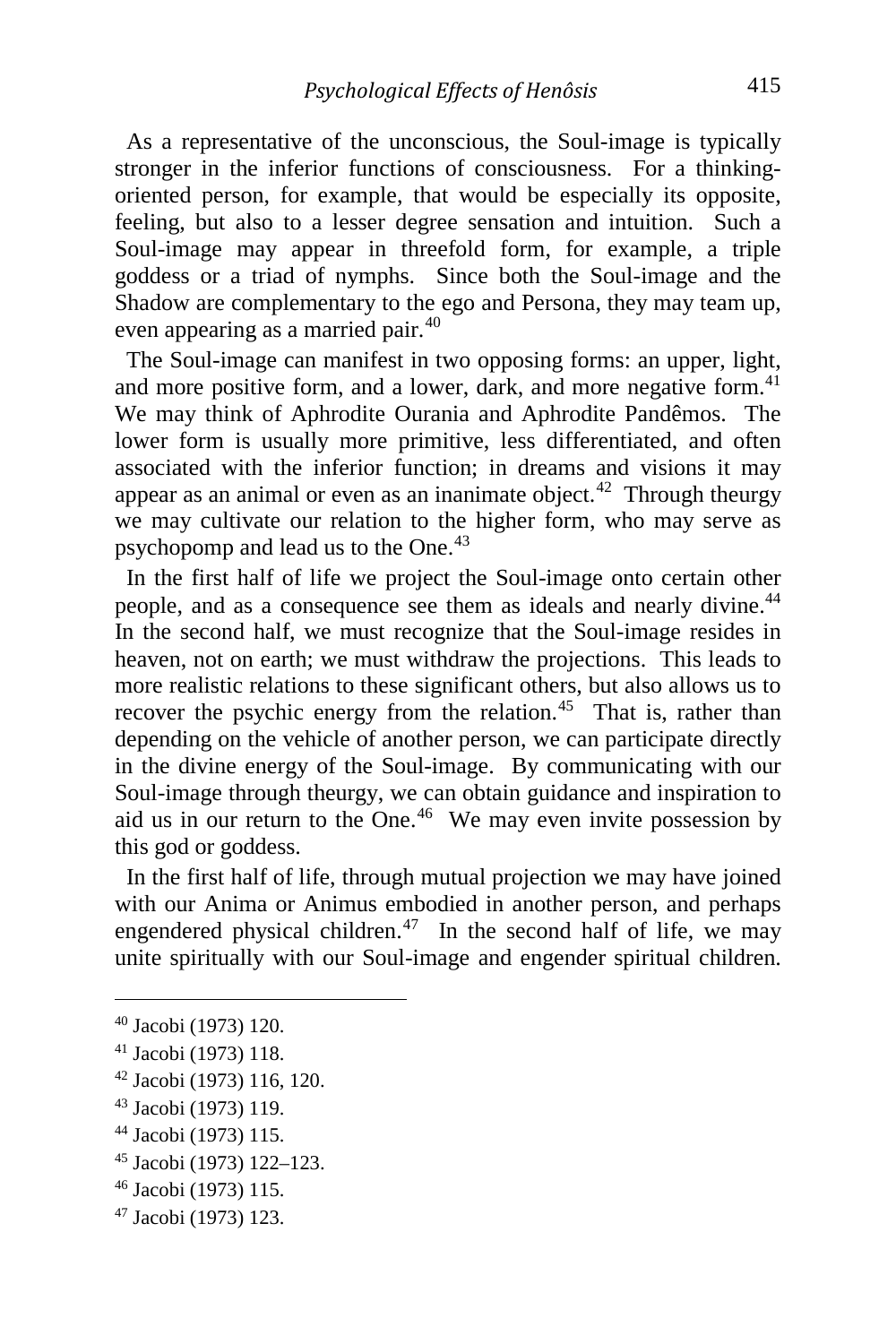As a representative of the unconscious, the Soul-image is typically stronger in the inferior functions of consciousness. For a thinkingoriented person, for example, that would be especially its opposite, feeling, but also to a lesser degree sensation and intuition. Such a Soul-image may appear in threefold form, for example, a triple goddess or a triad of nymphs. Since both the Soul-image and the Shadow are complementary to the ego and Persona, they may team up, even appearing as a married pair.<sup>[40](#page-11-0)</sup>

 The Soul-image can manifest in two opposing forms: an upper, light, and more positive form, and a lower, dark, and more negative form.<sup>[41](#page-11-1)</sup> We may think of Aphrodite Ourania and Aphrodite Pandêmos. The lower form is usually more primitive, less differentiated, and often associated with the inferior function; in dreams and visions it may appear as an animal or even as an inanimate object.<sup>[42](#page-11-2)</sup> Through theurgy we may cultivate our relation to the higher form, who may serve as psychopomp and lead us to the One.[43](#page-11-3)

 In the first half of life we project the Soul-image onto certain other people, and as a consequence see them as ideals and nearly divine.<sup>[44](#page-11-4)</sup> In the second half, we must recognize that the Soul-image resides in heaven, not on earth; we must withdraw the projections. This leads to more realistic relations to these significant others, but also allows us to recover the psychic energy from the relation.<sup>[45](#page-11-5)</sup> That is, rather than depending on the vehicle of another person, we can participate directly in the divine energy of the Soul-image. By communicating with our Soul-image through theurgy, we can obtain guidance and inspiration to aid us in our return to the One.<sup>46</sup> We may even invite possession by this god or goddess.

 In the first half of life, through mutual projection we may have joined with our Anima or Animus embodied in another person, and perhaps engendered physical children.<sup>47</sup> In the second half of life, we may unite spiritually with our Soul-image and engender spiritual children.

<span id="page-11-0"></span><sup>40</sup> Jacobi (1973) 120.

<span id="page-11-1"></span><sup>41</sup> Jacobi (1973) 118.

<span id="page-11-2"></span><sup>42</sup> Jacobi (1973) 116, 120.

<span id="page-11-3"></span><sup>43</sup> Jacobi (1973) 119.

<span id="page-11-4"></span><sup>44</sup> Jacobi (1973) 115.

<span id="page-11-5"></span><sup>45</sup> Jacobi (1973) 122–123.

<span id="page-11-6"></span><sup>46</sup> Jacobi (1973) 115.

<span id="page-11-7"></span><sup>47</sup> Jacobi (1973) 123.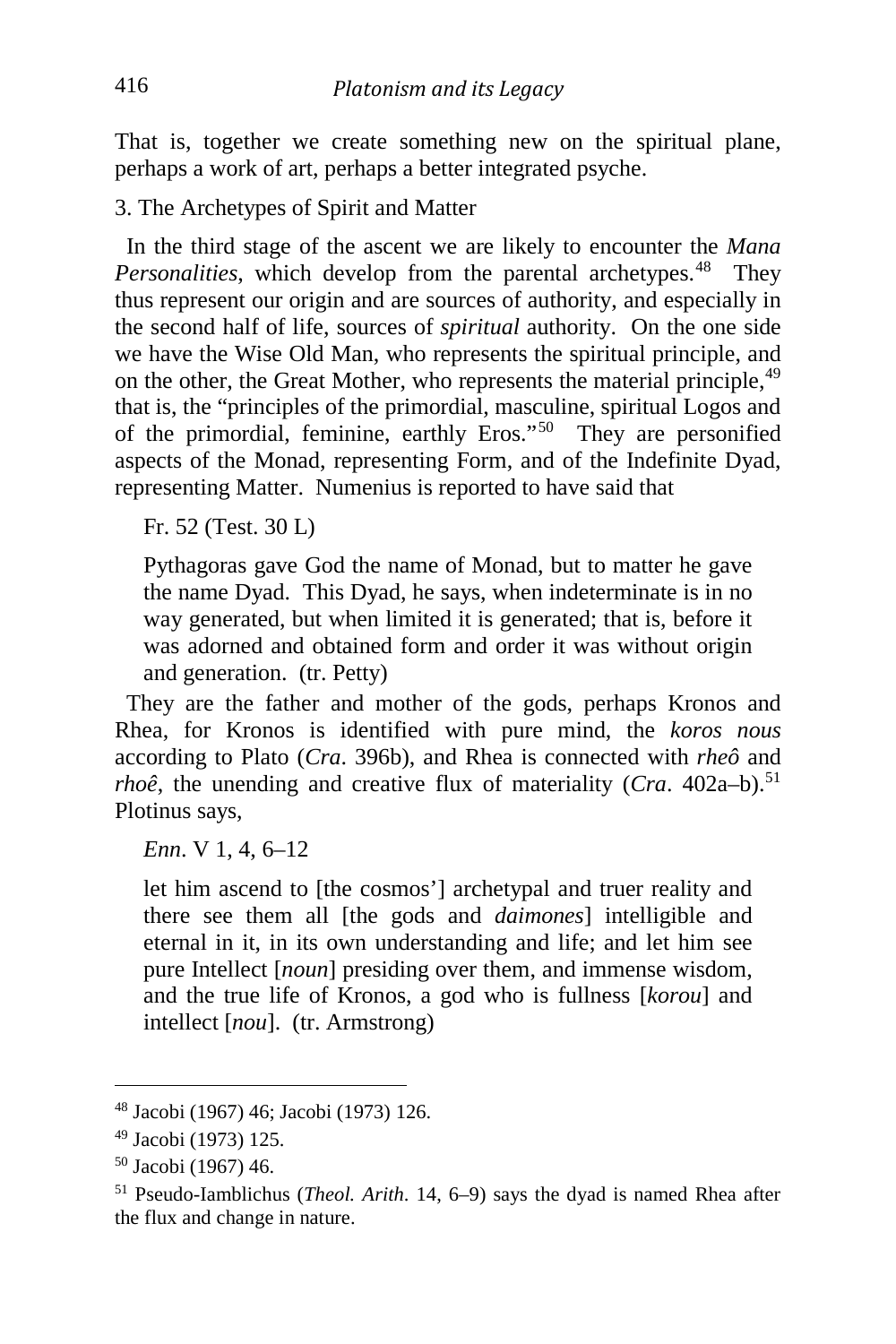That is, together we create something new on the spiritual plane, perhaps a work of art, perhaps a better integrated psyche.

3. The Archetypes of Spirit and Matter

 In the third stage of the ascent we are likely to encounter the *Mana Personalities*, which develop from the parental archetypes.<sup>[48](#page-12-0)</sup> They thus represent our origin and are sources of authority, and especially in the second half of life, sources of *spiritual* authority. On the one side we have the Wise Old Man, who represents the spiritual principle, and on the other, the Great Mother, who represents the material principle,<sup>[49](#page-12-1)</sup> that is, the "principles of the primordial, masculine, spiritual Logos and of the primordial, feminine, earthly Eros."[50](#page-12-2) They are personified aspects of the Monad, representing Form, and of the Indefinite Dyad, representing Matter. Numenius is reported to have said that

Fr. 52 (Test. 30 L)

Pythagoras gave God the name of Monad, but to matter he gave the name Dyad. This Dyad, he says, when indeterminate is in no way generated, but when limited it is generated; that is, before it was adorned and obtained form and order it was without origin and generation. (tr. Petty)

 They are the father and mother of the gods, perhaps Kronos and Rhea, for Kronos is identified with pure mind, the *koros nous* according to Plato (*Cra*. 396b), and Rhea is connected with *rheô* and *rhoê*, the unending and creative flux of materiality (*Cra*. 402a–b).<sup>[51](#page-12-3)</sup> Plotinus says,

*Enn*. V 1, 4, 6–12

let him ascend to [the cosmos'] archetypal and truer reality and there see them all [the gods and *daimones*] intelligible and eternal in it, in its own understanding and life; and let him see pure Intellect [*noun*] presiding over them, and immense wisdom, and the true life of Kronos, a god who is fullness [*korou*] and intellect [*nou*]. (tr. Armstrong)

<span id="page-12-0"></span><sup>48</sup> Jacobi (1967) 46; Jacobi (1973) 126.

<span id="page-12-1"></span><sup>49</sup> Jacobi (1973) 125.

<span id="page-12-2"></span><sup>50</sup> Jacobi (1967) 46.

<span id="page-12-3"></span><sup>51</sup> Pseudo-Iamblichus (*Theol. Arith*. 14, 6–9) says the dyad is named Rhea after the flux and change in nature.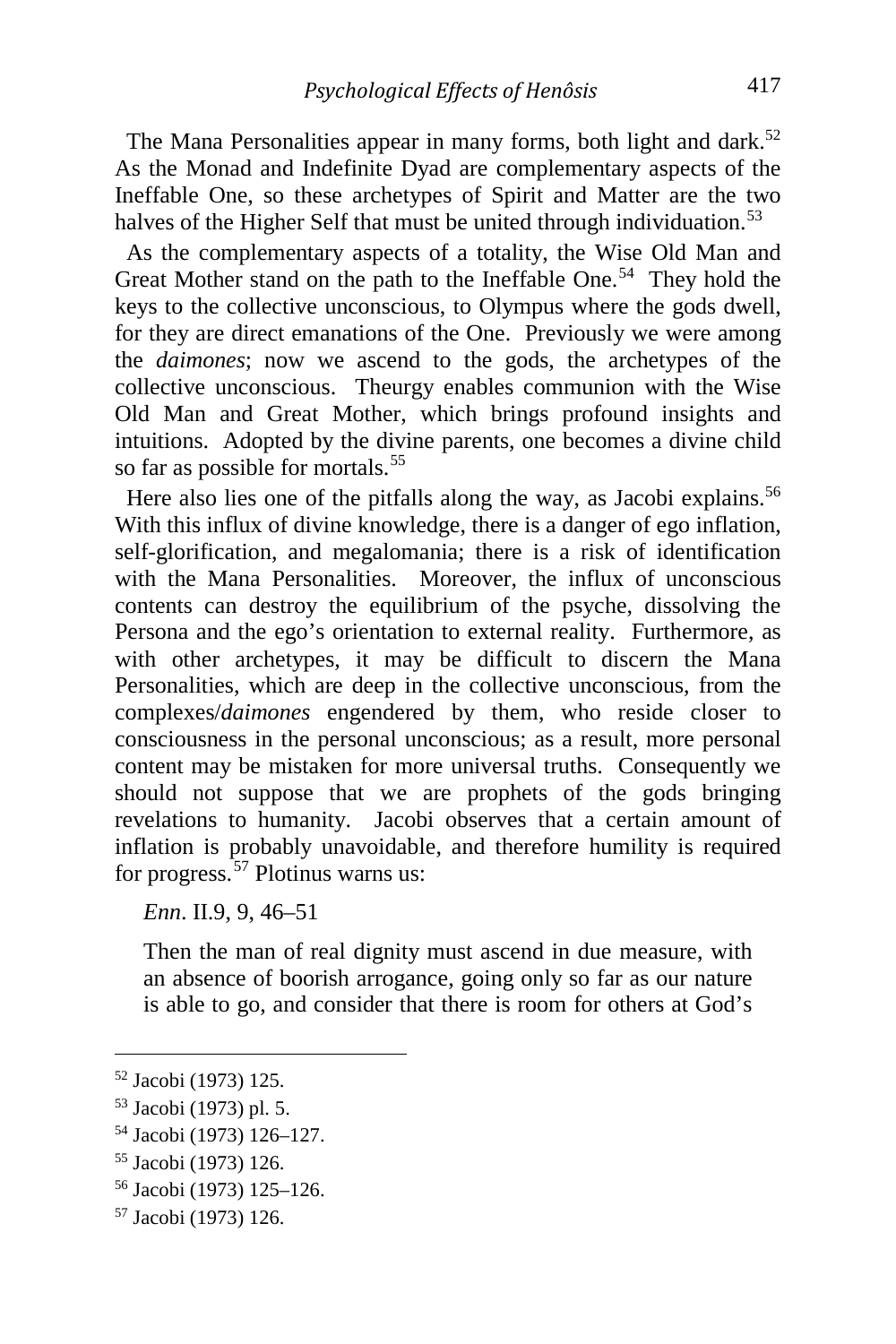The Mana Personalities appear in many forms, both light and dark.<sup>[52](#page-13-0)</sup> As the Monad and Indefinite Dyad are complementary aspects of the Ineffable One, so these archetypes of Spirit and Matter are the two halves of the Higher Self that must be united through individuation.<sup>[53](#page-13-1)</sup>

 As the complementary aspects of a totality, the Wise Old Man and Great Mother stand on the path to the Ineffable One.<sup>[54](#page-13-2)</sup> They hold the keys to the collective unconscious, to Olympus where the gods dwell, for they are direct emanations of the One. Previously we were among the *daimones*; now we ascend to the gods, the archetypes of the collective unconscious. Theurgy enables communion with the Wise Old Man and Great Mother, which brings profound insights and intuitions. Adopted by the divine parents, one becomes a divine child so far as possible for mortals.<sup>[55](#page-13-3)</sup>

Here also lies one of the pitfalls along the way, as Jacobi explains.<sup>[56](#page-13-4)</sup> With this influx of divine knowledge, there is a danger of ego inflation, self-glorification, and megalomania; there is a risk of identification with the Mana Personalities. Moreover, the influx of unconscious contents can destroy the equilibrium of the psyche, dissolving the Persona and the ego's orientation to external reality. Furthermore, as with other archetypes, it may be difficult to discern the Mana Personalities, which are deep in the collective unconscious, from the complexes/*daimones* engendered by them, who reside closer to consciousness in the personal unconscious; as a result, more personal content may be mistaken for more universal truths. Consequently we should not suppose that we are prophets of the gods bringing revelations to humanity. Jacobi observes that a certain amount of inflation is probably unavoidable, and therefore humility is required for progress.  $57$  Plotinus warns us:

*Enn*. II.9, 9, 46–51

Then the man of real dignity must ascend in due measure, with an absence of boorish arrogance, going only so far as our nature is able to go, and consider that there is room for others at God's

<span id="page-13-0"></span><sup>52</sup> Jacobi (1973) 125.

<span id="page-13-1"></span><sup>53</sup> Jacobi (1973) pl. 5.

<span id="page-13-2"></span><sup>54</sup> Jacobi (1973) 126–127.

<span id="page-13-3"></span><sup>55</sup> Jacobi (1973) 126.

<span id="page-13-4"></span><sup>56</sup> Jacobi (1973) 125–126.

<span id="page-13-5"></span><sup>57</sup> Jacobi (1973) 126.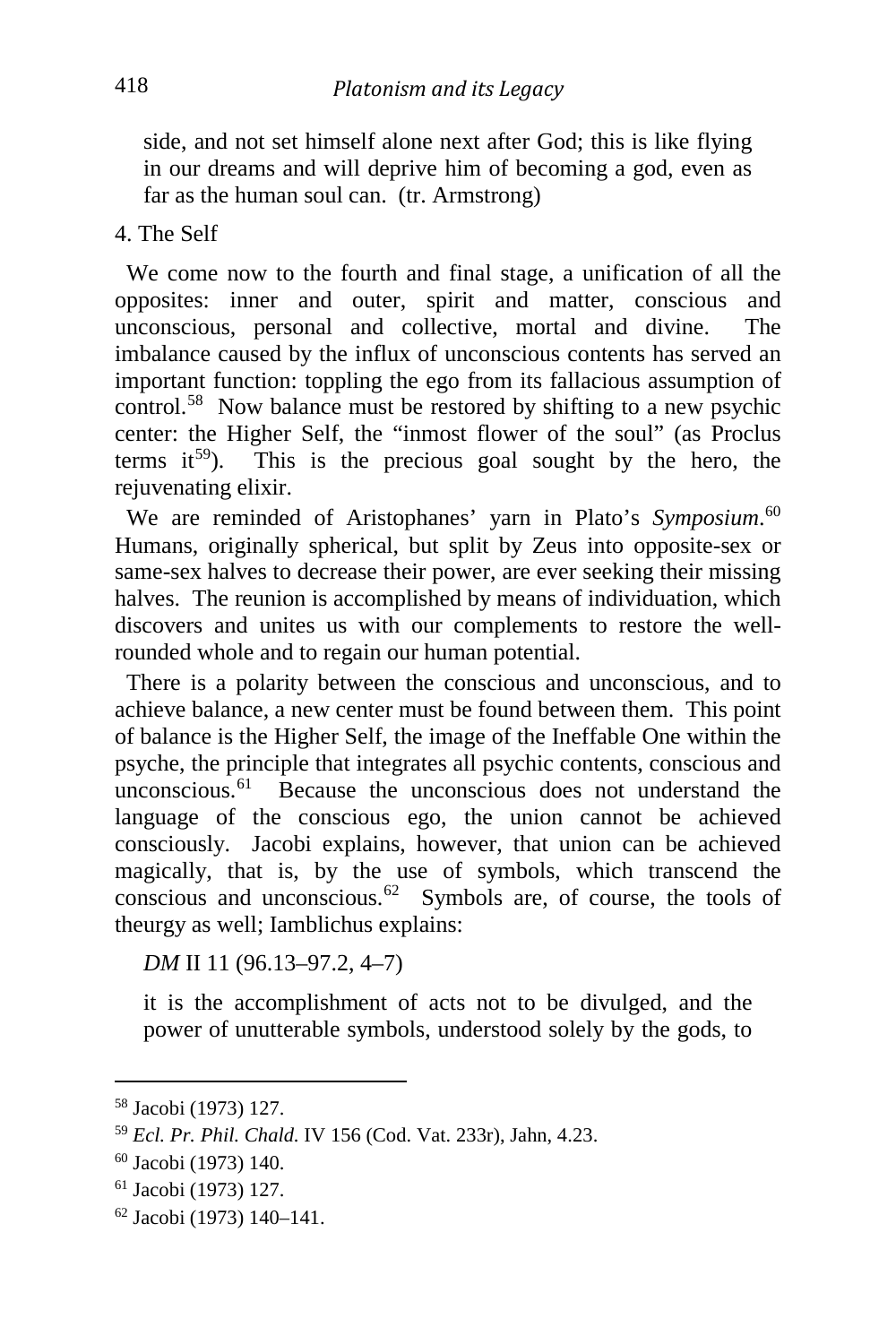side, and not set himself alone next after God; this is like flying in our dreams and will deprive him of becoming a god, even as far as the human soul can. (tr. Armstrong)

### 4. The Self

 We come now to the fourth and final stage, a unification of all the opposites: inner and outer, spirit and matter, conscious and unconscious, personal and collective, mortal and divine. The imbalance caused by the influx of unconscious contents has served an important function: toppling the ego from its fallacious assumption of control.<sup>[58](#page-14-0)</sup> Now balance must be restored by shifting to a new psychic center: the Higher Self, the "inmost flower of the soul" (as Proclus terms it<sup>[59](#page-14-1)</sup>). This is the precious goal sought by the hero, the rejuvenating elixir.

 We are reminded of Aristophanes' yarn in Plato's *Symposium*. [60](#page-14-2) Humans, originally spherical, but split by Zeus into opposite-sex or same-sex halves to decrease their power, are ever seeking their missing halves. The reunion is accomplished by means of individuation, which discovers and unites us with our complements to restore the wellrounded whole and to regain our human potential.

 There is a polarity between the conscious and unconscious, and to achieve balance, a new center must be found between them. This point of balance is the Higher Self, the image of the Ineffable One within the psyche, the principle that integrates all psychic contents, conscious and unconscious. $61$  Because the unconscious does not understand the language of the conscious ego, the union cannot be achieved consciously. Jacobi explains, however, that union can be achieved magically, that is, by the use of symbols, which transcend the conscious and unconscious.[62](#page-14-4) Symbols are, of course, the tools of theurgy as well; Iamblichus explains:

*DM* II 11 (96.13–97.2, 4–7)

it is the accomplishment of acts not to be divulged, and the power of unutterable symbols, understood solely by the gods, to

<span id="page-14-0"></span><sup>58</sup> Jacobi (1973) 127.

<span id="page-14-1"></span><sup>59</sup> *Ecl. Pr. Phil. Chald.* IV 156 (Cod. Vat. 233r), Jahn, 4.23.

<span id="page-14-2"></span><sup>60</sup> Jacobi (1973) 140.

<span id="page-14-3"></span><sup>61</sup> Jacobi (1973) 127.

<span id="page-14-4"></span><sup>62</sup> Jacobi (1973) 140–141.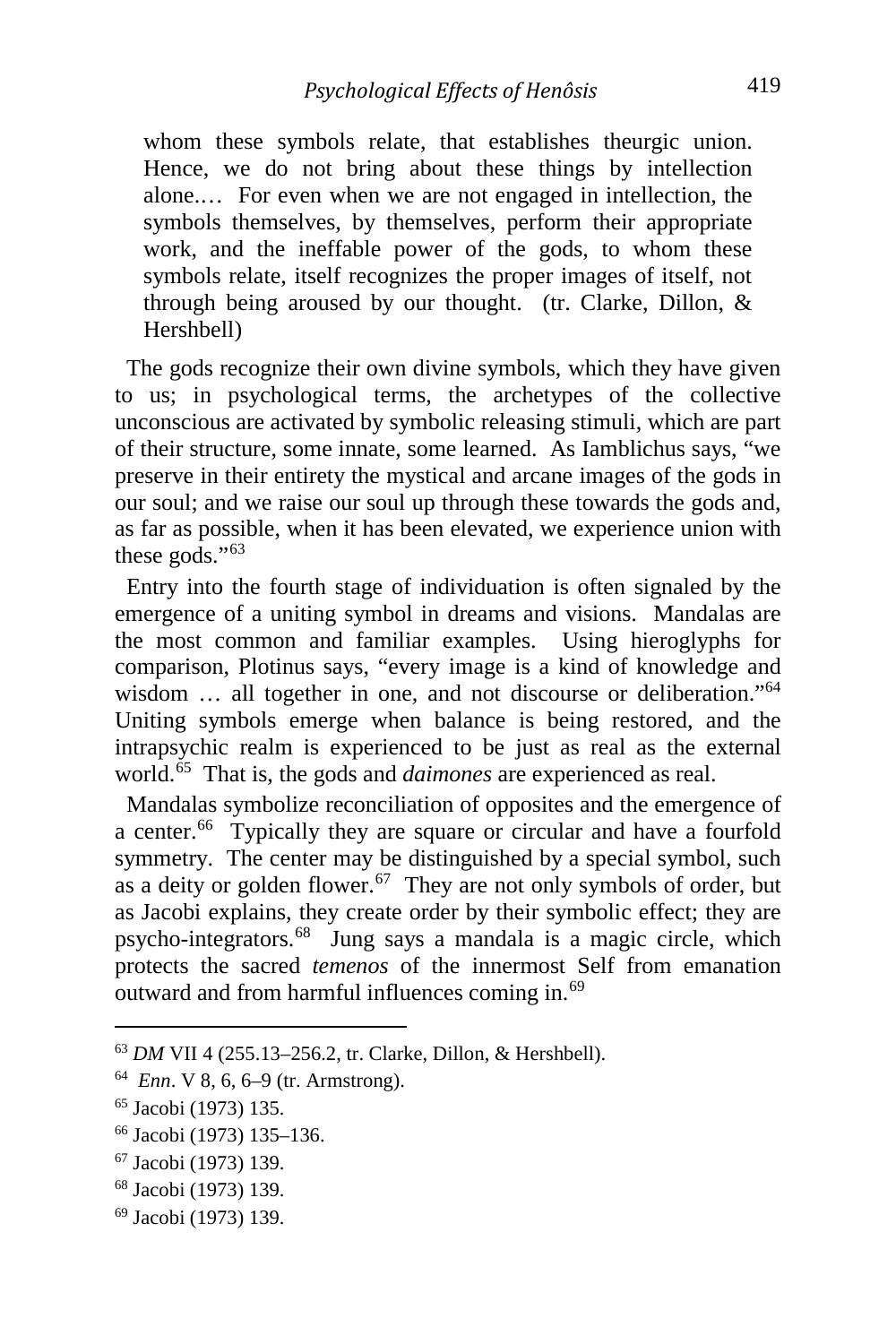whom these symbols relate, that establishes theurgic union. Hence, we do not bring about these things by intellection alone.… For even when we are not engaged in intellection, the symbols themselves, by themselves, perform their appropriate work, and the ineffable power of the gods, to whom these symbols relate, itself recognizes the proper images of itself, not through being aroused by our thought. (tr. Clarke, Dillon, & Hershbell)

 The gods recognize their own divine symbols, which they have given to us; in psychological terms, the archetypes of the collective unconscious are activated by symbolic releasing stimuli, which are part of their structure, some innate, some learned. As Iamblichus says, "we preserve in their entirety the mystical and arcane images of the gods in our soul; and we raise our soul up through these towards the gods and, as far as possible, when it has been elevated, we experience union with these gods."[63](#page-15-0)

 Entry into the fourth stage of individuation is often signaled by the emergence of a uniting symbol in dreams and visions. Mandalas are the most common and familiar examples. Using hieroglyphs for comparison, Plotinus says, "every image is a kind of knowledge and wisdom ... all together in one, and not discourse or deliberation."<sup>[64](#page-15-1)</sup> Uniting symbols emerge when balance is being restored, and the intrapsychic realm is experienced to be just as real as the external world.[65](#page-15-2) That is, the gods and *daimones* are experienced as real.

 Mandalas symbolize reconciliation of opposites and the emergence of a center.<sup>[66](#page-15-3)</sup> Typically they are square or circular and have a fourfold symmetry. The center may be distinguished by a special symbol, such as a deity or golden flower.<sup>67</sup> They are not only symbols of order, but as Jacobi explains, they create order by their symbolic effect; they are psycho-integrators.[68](#page-15-5) Jung says a mandala is a magic circle, which protects the sacred *temenos* of the innermost Self from emanation outward and from harmful influences coming in.<sup>[69](#page-15-6)</sup>

<span id="page-15-0"></span><sup>63</sup> *DM* VII 4 (255.13–256.2, tr. Clarke, Dillon, & Hershbell).

<span id="page-15-1"></span><sup>64</sup> *Enn*. V 8, 6, 6–9 (tr. Armstrong).

<span id="page-15-2"></span><sup>65</sup> Jacobi (1973) 135.

<span id="page-15-3"></span><sup>66</sup> Jacobi (1973) 135–136.

<span id="page-15-4"></span><sup>67</sup> Jacobi (1973) 139.

<span id="page-15-5"></span><sup>68</sup> Jacobi (1973) 139.

<span id="page-15-6"></span><sup>69</sup> Jacobi (1973) 139.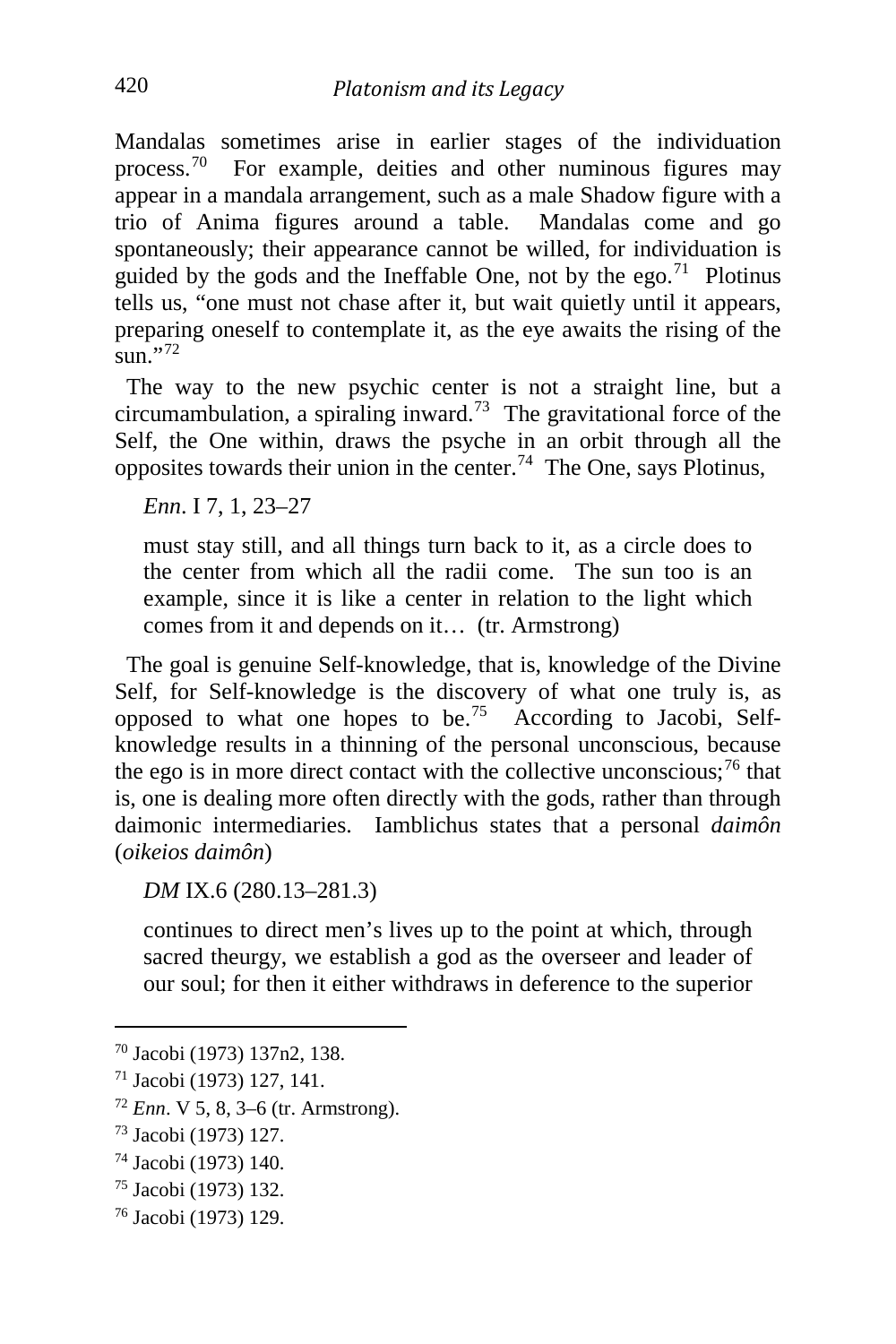Mandalas sometimes arise in earlier stages of the individuation process.[70](#page-16-0) For example, deities and other numinous figures may appear in a mandala arrangement, such as a male Shadow figure with a trio of Anima figures around a table. Mandalas come and go spontaneously; their appearance cannot be willed, for individuation is guided by the gods and the Ineffable One, not by the ego.<sup>[71](#page-16-1)</sup> Plotinus tells us, "one must not chase after it, but wait quietly until it appears, preparing oneself to contemplate it, as the eye awaits the rising of the  $\sin$ <sup>1</sup>,[72](#page-16-2)

 The way to the new psychic center is not a straight line, but a circumambulation, a spiraling inward.<sup>73</sup> The gravitational force of the Self, the One within, draws the psyche in an orbit through all the opposites towards their union in the center.[74](#page-16-4) The One, says Plotinus,

*Enn*. I 7, 1, 23–27

must stay still, and all things turn back to it, as a circle does to the center from which all the radii come. The sun too is an example, since it is like a center in relation to the light which comes from it and depends on it… (tr. Armstrong)

 The goal is genuine Self-knowledge, that is, knowledge of the Divine Self, for Self-knowledge is the discovery of what one truly is, as opposed to what one hopes to be.<sup>[75](#page-16-5)</sup> According to Jacobi, Selfknowledge results in a thinning of the personal unconscious, because the ego is in more direct contact with the collective unconscious;  $^{76}$  $^{76}$  $^{76}$  that is, one is dealing more often directly with the gods, rather than through daimonic intermediaries. Iamblichus states that a personal *daimôn* (*oikeios daimôn*)

*DM* IX.6 (280.13–281.3)

continues to direct men's lives up to the point at which, through sacred theurgy, we establish a god as the overseer and leader of our soul; for then it either withdraws in deference to the superior

<span id="page-16-0"></span><sup>70</sup> Jacobi (1973) 137n2, 138.

<span id="page-16-1"></span><sup>71</sup> Jacobi (1973) 127, 141.

<span id="page-16-2"></span><sup>72</sup> *Enn*. V 5, 8, 3–6 (tr. Armstrong).

<span id="page-16-3"></span><sup>73</sup> Jacobi (1973) 127.

<span id="page-16-4"></span><sup>74</sup> Jacobi (1973) 140.

<span id="page-16-5"></span><sup>75</sup> Jacobi (1973) 132.

<span id="page-16-6"></span><sup>76</sup> Jacobi (1973) 129.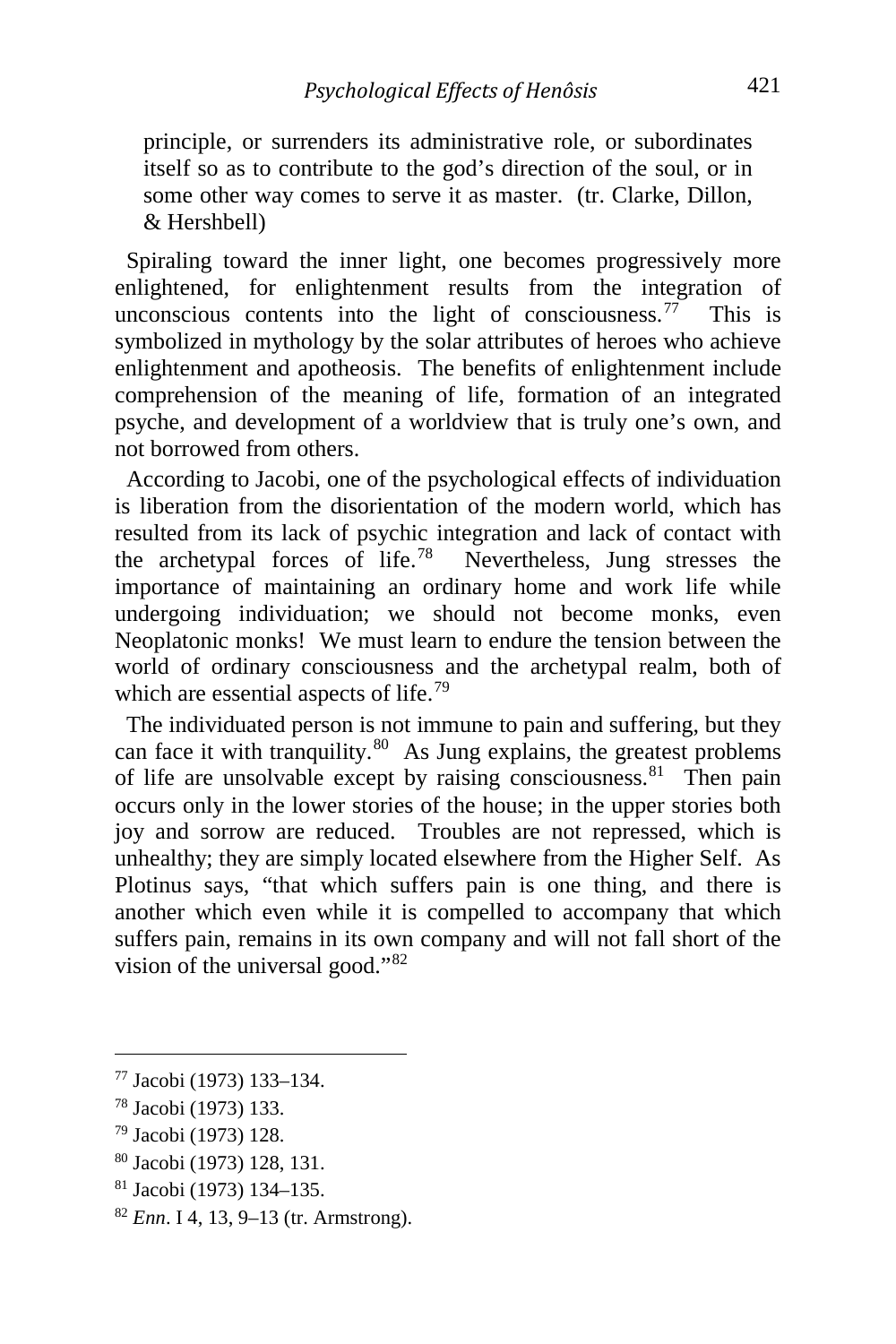principle, or surrenders its administrative role, or subordinates itself so as to contribute to the god's direction of the soul, or in some other way comes to serve it as master. (tr. Clarke, Dillon, & Hershbell)

 Spiraling toward the inner light, one becomes progressively more enlightened, for enlightenment results from the integration of unconscious contents into the light of consciousness.<sup>[77](#page-17-0)</sup> This is symbolized in mythology by the solar attributes of heroes who achieve enlightenment and apotheosis. The benefits of enlightenment include comprehension of the meaning of life, formation of an integrated psyche, and development of a worldview that is truly one's own, and not borrowed from others.

 According to Jacobi, one of the psychological effects of individuation is liberation from the disorientation of the modern world, which has resulted from its lack of psychic integration and lack of contact with the archetypal forces of life. [78](#page-17-1) Nevertheless, Jung stresses the importance of maintaining an ordinary home and work life while undergoing individuation; we should not become monks, even Neoplatonic monks! We must learn to endure the tension between the world of ordinary consciousness and the archetypal realm, both of which are essential aspects of life.<sup>[79](#page-17-2)</sup>

 The individuated person is not immune to pain and suffering, but they can face it with tranquility. $80$  As Jung explains, the greatest problems of life are unsolvable except by raising consciousness.<sup>81</sup> Then pain occurs only in the lower stories of the house; in the upper stories both joy and sorrow are reduced. Troubles are not repressed, which is unhealthy; they are simply located elsewhere from the Higher Self. As Plotinus says, "that which suffers pain is one thing, and there is another which even while it is compelled to accompany that which suffers pain, remains in its own company and will not fall short of the vision of the universal good."[82](#page-17-5)

<span id="page-17-4"></span><sup>81</sup> Jacobi (1973) 134–135.

<span id="page-17-0"></span><sup>77</sup> Jacobi (1973) 133–134.

<span id="page-17-1"></span><sup>78</sup> Jacobi (1973) 133.

<span id="page-17-2"></span><sup>79</sup> Jacobi (1973) 128.

<span id="page-17-3"></span><sup>80</sup> Jacobi (1973) 128, 131.

<span id="page-17-5"></span><sup>82</sup> *Enn*. I 4, 13, 9–13 (tr. Armstrong).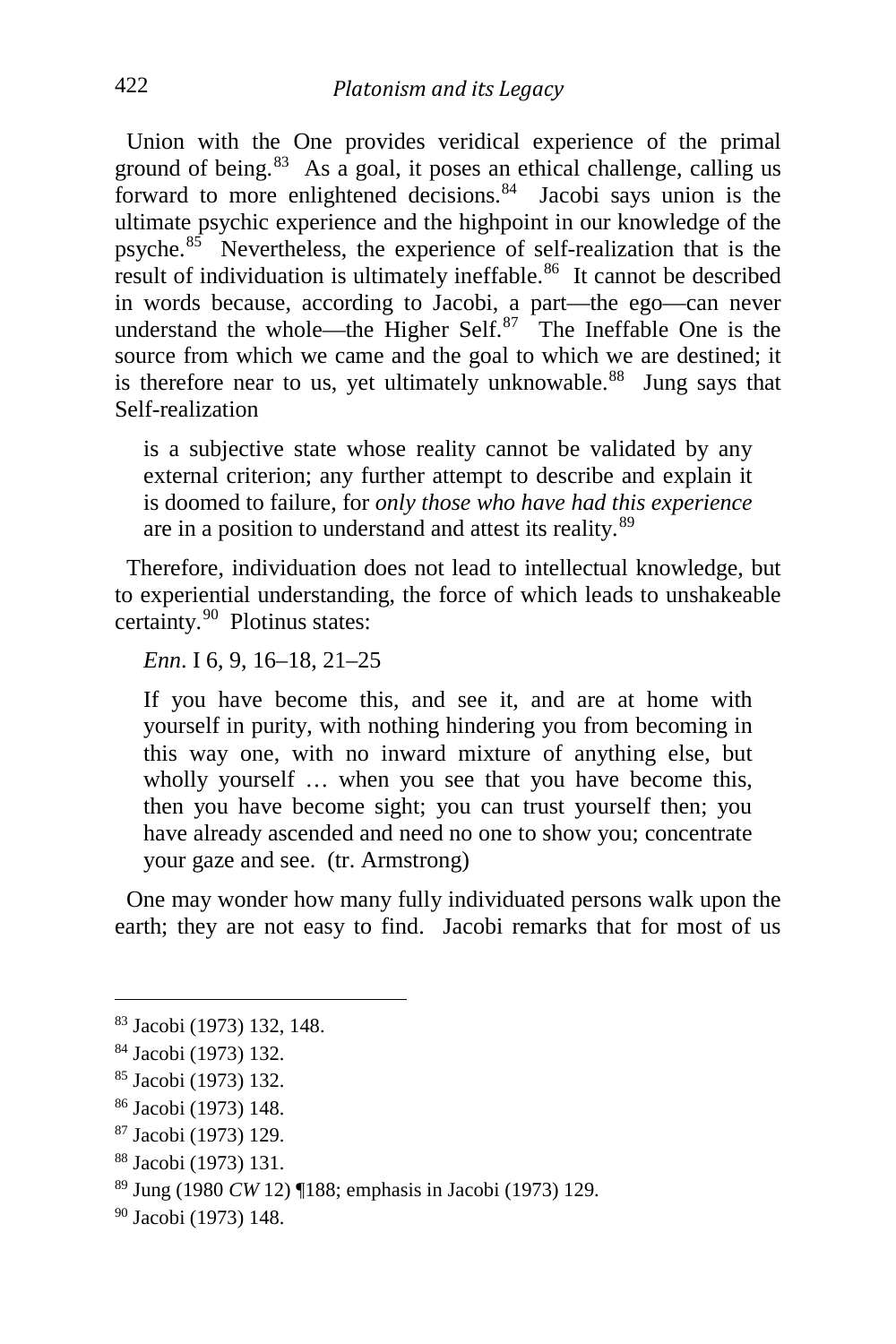Union with the One provides veridical experience of the primal ground of being. $83$  As a goal, it poses an ethical challenge, calling us forward to more enlightened decisions. $84$  Jacobi says union is the ultimate psychic experience and the highpoint in our knowledge of the psyche.[85](#page-18-2) Nevertheless, the experience of self-realization that is the result of individuation is ultimately ineffable.<sup>[86](#page-18-3)</sup> It cannot be described in words because, according to Jacobi, a part—the ego—can never understand the whole—the Higher Self. $87$  The Ineffable One is the source from which we came and the goal to which we are destined; it is therefore near to us, yet ultimately unknowable.<sup>[88](#page-18-5)</sup> Jung says that Self-realization

is a subjective state whose reality cannot be validated by any external criterion; any further attempt to describe and explain it is doomed to failure, for *only those who have had this experience* are in a position to understand and attest its reality.<sup>[89](#page-18-6)</sup>

 Therefore, individuation does not lead to intellectual knowledge, but to experiential understanding, the force of which leads to unshakeable certainty.<sup>90</sup> Plotinus states:

*Enn*. I 6, 9, 16–18, 21–25

If you have become this, and see it, and are at home with yourself in purity, with nothing hindering you from becoming in this way one, with no inward mixture of anything else, but wholly yourself ... when you see that you have become this, then you have become sight; you can trust yourself then; you have already ascended and need no one to show you; concentrate your gaze and see. (tr. Armstrong)

 One may wonder how many fully individuated persons walk upon the earth; they are not easy to find. Jacobi remarks that for most of us

<span id="page-18-0"></span><sup>83</sup> Jacobi (1973) 132, 148.

<span id="page-18-1"></span><sup>84</sup> Jacobi (1973) 132.

<span id="page-18-2"></span><sup>85</sup> Jacobi (1973) 132.

<span id="page-18-3"></span><sup>86</sup> Jacobi (1973) 148.

<span id="page-18-4"></span><sup>87</sup> Jacobi (1973) 129.

<span id="page-18-5"></span><sup>88</sup> Jacobi (1973) 131.

<span id="page-18-6"></span><sup>89</sup> Jung (1980 *CW* 12) ¶188; emphasis in Jacobi (1973) 129.

<span id="page-18-7"></span><sup>90</sup> Jacobi (1973) 148.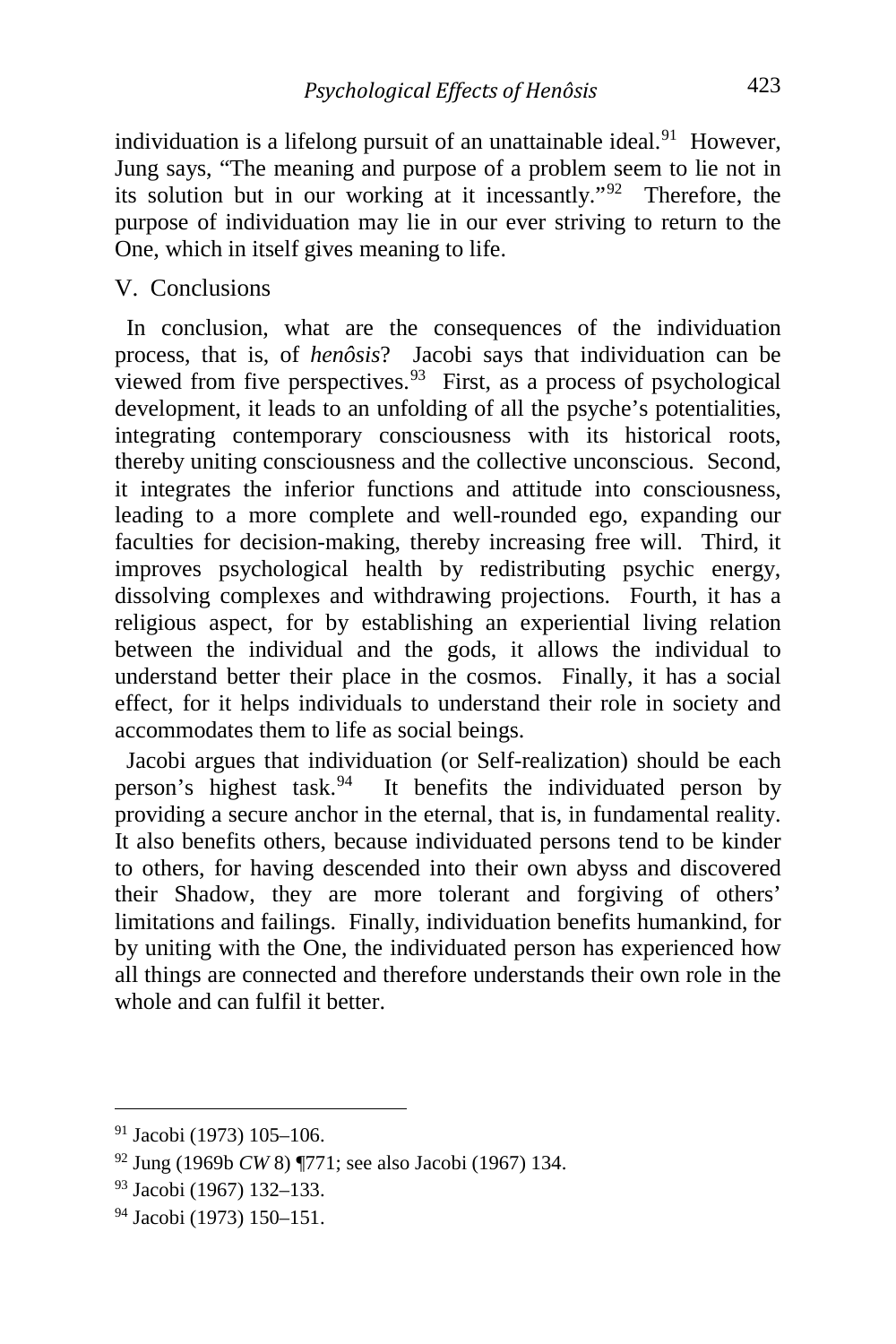individuation is a lifelong pursuit of an unattainable ideal.<sup>[91](#page-19-0)</sup> However, Jung says, "The meaning and purpose of a problem seem to lie not in its solution but in our working at it incessantly."[92](#page-19-1) Therefore, the purpose of individuation may lie in our ever striving to return to the One, which in itself gives meaning to life.

## V. Conclusions

 In conclusion, what are the consequences of the individuation process, that is, of *henôsis*? Jacobi says that individuation can be viewed from five perspectives.  $93$  First, as a process of psychological development, it leads to an unfolding of all the psyche's potentialities, integrating contemporary consciousness with its historical roots, thereby uniting consciousness and the collective unconscious. Second, it integrates the inferior functions and attitude into consciousness, leading to a more complete and well-rounded ego, expanding our faculties for decision-making, thereby increasing free will. Third, it improves psychological health by redistributing psychic energy, dissolving complexes and withdrawing projections. Fourth, it has a religious aspect, for by establishing an experiential living relation between the individual and the gods, it allows the individual to understand better their place in the cosmos. Finally, it has a social effect, for it helps individuals to understand their role in society and accommodates them to life as social beings.

 Jacobi argues that individuation (or Self-realization) should be each person's highest task. $94$  It benefits the individuated person by providing a secure anchor in the eternal, that is, in fundamental reality. It also benefits others, because individuated persons tend to be kinder to others, for having descended into their own abyss and discovered their Shadow, they are more tolerant and forgiving of others' limitations and failings. Finally, individuation benefits humankind, for by uniting with the One, the individuated person has experienced how all things are connected and therefore understands their own role in the whole and can fulfil it better.

<span id="page-19-0"></span><sup>91</sup> Jacobi (1973) 105–106.

<span id="page-19-1"></span><sup>92</sup> Jung (1969b *CW* 8) ¶771; see also Jacobi (1967) 134.

<span id="page-19-2"></span><sup>93</sup> Jacobi (1967) 132–133.

<span id="page-19-3"></span><sup>94</sup> Jacobi (1973) 150–151.